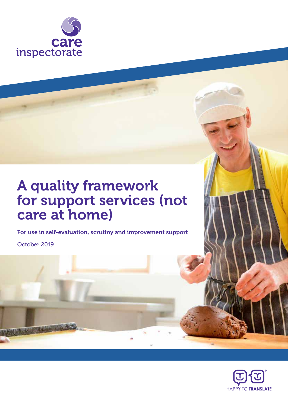

# A quality framework for support services (not care at home)

For use in self-evaluation, scrutiny and improvement support

October 2019

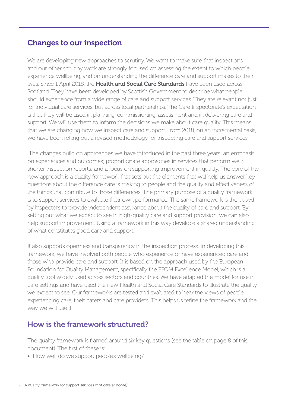### Changes to our inspection

We are developing new approaches to scrutiny. We want to make sure that inspections and our other scrutiny work are strongly focused on assessing the extent to which people experience wellbeing, and on understanding the difference care and support makes to their lives. Since 1 April 2018, the Health and Social Care Standards have been used across Scotland. They have been developed by Scottish Government to describe what people should experience from a wide range of care and support services. They are relevant not just for individual care services, but across local partnerships. The Care Inspectorate's expectation is that they will be used in planning, commissioning, assessment and in delivering care and support. We will use them to inform the decisions we make about care quality. This means that we are changing how we inspect care and support. From 2018, on an incremental basis, we have been rolling out a revised methodology for inspecting care and support services.

 The changes build on approaches we have introduced in the past three years: an emphasis on experiences and outcomes; proportionate approaches in services that perform well; shorter inspection reports; and a focus on supporting improvement in quality. The core of the new approach is a quality framework that sets out the elements that will help us answer key questions about the difference care is making to people and the quality and effectiveness of the things that contribute to those differences. The primary purpose of a quality framework is to support services to evaluate their own performance. The same framework is then used by inspectors to provide independent assurance about the quality of care and support. By setting out what we expect to see in high-quality care and support provision, we can also help support improvement. Using a framework in this way develops a shared understanding of what constitutes good care and support.

It also supports openness and transparency in the inspection process. In developing this framework, we have involved both people who experience or have experienced care and those who provide care and support. It is based on the approach used by the European Foundation for Quality Management, specifically the EFQM Excellence Model, which is a quality tool widely used across sectors and countries. We have adapted the model for use in care settings and have used the new Health and Social Care Standards to illustrate the quality we expect to see. Our frameworks are tested and evaluated to hear the views of people experiencing care, their carers and care providers. This helps us refine the framework and the way we will use it.

### How is the framework structured?

The quality framework is framed around six key questions (see the table on page 8 of this document). The first of these is:

• How well do we support people's wellbeing?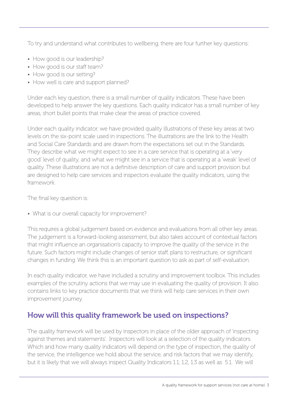To try and understand what contributes to wellbeing, there are four further key questions:

- How good is our leadership?
- How good is our staff team?
- How good is our setting?
- How well is care and support planned?

Under each key question, there is a small number of quality indicators. These have been developed to help answer the key questions. Each quality indicator has a small number of key areas, short bullet points that make clear the areas of practice covered.

Under each quality indicator, we have provided quality illustrations of these key areas at two levels on the six-point scale used in inspections. The illustrations are the link to the Health and Social Care Standards and are drawn from the expectations set out in the Standards. They describe what we might expect to see in a care service that is operating at a 'very good' level of quality, and what we might see in a service that is operating at a 'weak' level of quality. These illustrations are not a definitive description of care and support provision but are designed to help care services and inspectors evaluate the quality indicators, using the framework.

The final key question is:

• What is our overall capacity for improvement?

This requires a global judgement based on evidence and evaluations from all other key areas. The judgement is a forward-looking assessment, but also takes account of contextual factors that might influence an organisation's capacity to improve the quality of the service in the future. Such factors might include changes of senior staff, plans to restructure, or significant changes in funding. We think this is an important question to ask as part of self-evaluation.

In each quality indicator, we have included a scrutiny and improvement toolbox. This includes examples of the scrutiny actions that we may use in evaluating the quality of provision. It also contains links to key practice documents that we think will help care services in their own improvement journey.

## How will this quality framework be used on inspections?

The quality framework will be used by inspectors in place of the older approach of 'inspecting against themes and statements'. Inspectors will look at a selection of the quality indicators. Which and how many quality indicators will depend on the type of inspection, the quality of the service, the intelligence we hold about the service, and risk factors that we may identify, but it is likely that we will always inspect Quality Indicators 1.1, 1.2, 1.3 as well as 5.1. We will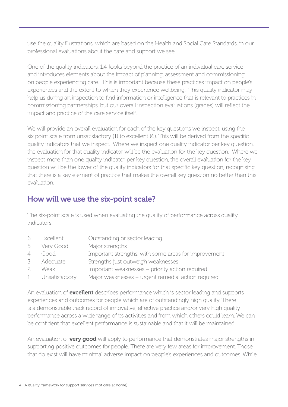use the quality illustrations, which are based on the Health and Social Care Standards, in our professional evaluations about the care and support we see.

One of the quality indicators, 1.4, looks beyond the practice of an individual care service and introduces elements about the impact of planning, assessment and commissioning on people experiencing care. This is important because these practices impact on people's experiences and the extent to which they experience wellbeing. This quality indicator may help us during an inspection to find information or intelligence that is relevant to practices in commissioning partnerships, but our overall inspection evaluations (grades) will reflect the impact and practice of the care service itself.

We will provide an overall evaluation for each of the key questions we inspect, using the six point scale from unsatisfactory (1) to excellent (6). This will be derived from the specific quality indicators that we inspect. Where we inspect one quality indicator per key question, the evaluation for that quality indicator will be the evaluation for the key question. Where we inspect more than one quality indicator per key question, the overall evaluation for the key question will be the lower of the quality indicators for that specific key question, recognising that there is a key element of practice that makes the overall key question no better than this evaluation.

### How will we use the six-point scale?

The six-point scale is used when evaluating the quality of performance across quality indicators.

| 6              | Excellent        | Outstanding or sector leading                        |
|----------------|------------------|------------------------------------------------------|
| 5              | Very Good        | Major strengths                                      |
| $\overline{4}$ | Good             | Important strengths, with some areas for improvement |
| 3              | Adequate         | Strengths just outweigh weaknesses                   |
| $\overline{2}$ | Weak             | Important weaknesses - priority action required      |
|                | 1 Unsatisfactory | Major weaknesses - urgent remedial action required   |

An evaluation of **excellent** describes performance which is sector leading and supports experiences and outcomes for people which are of outstandingly high quality. There is a demonstrable track record of innovative, effective practice and/or very high quality performance across a wide range of its activities and from which others could learn. We can be confident that excellent performance is sustainable and that it will be maintained.

An evaluation of **very good** will apply to performance that demonstrates major strengths in supporting positive outcomes for people. There are very few areas for improvement. Those that do exist will have minimal adverse impact on people's experiences and outcomes. While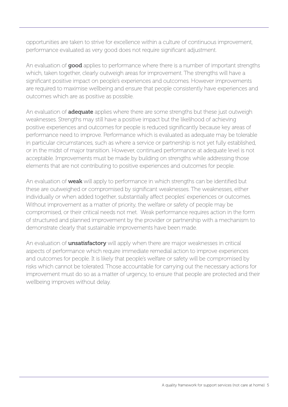opportunities are taken to strive for excellence within a culture of continuous improvement, performance evaluated as very good does not require significant adjustment.

An evaluation of good applies to performance where there is a number of important strengths which, taken together, clearly outweigh areas for improvement. The strengths will have a significant positive impact on people's experiences and outcomes. However improvements are required to maximise wellbeing and ensure that people consistently have experiences and outcomes which are as positive as possible.

An evaluation of **adequate** applies where there are some strengths but these just outweigh weaknesses. Strengths may still have a positive impact but the likelihood of achieving positive experiences and outcomes for people is reduced significantly because key areas of performance need to improve. Performance which is evaluated as adequate may be tolerable in particular circumstances, such as where a service or partnership is not yet fully established, or in the midst of major transition. However, continued performance at adequate level is not acceptable. Improvements must be made by building on strengths while addressing those elements that are not contributing to positive experiences and outcomes for people.

An evaluation of weak will apply to performance in which strengths can be identified but these are outweighed or compromised by significant weaknesses. The weaknesses, either individually or when added together, substantially affect peoples' experiences or outcomes. Without improvement as a matter of priority, the welfare or safety of people may be compromised, or their critical needs not met. Weak performance requires action in the form of structured and planned improvement by the provider or partnership with a mechanism to demonstrate clearly that sustainable improvements have been made.

An evaluation of **unsatisfactory** will apply when there are major weaknesses in critical aspects of performance which require immediate remedial action to improve experiences and outcomes for people. It is likely that people's welfare or safety will be compromised by risks which cannot be tolerated. Those accountable for carrying out the necessary actions for improvement must do so as a matter of urgency, to ensure that people are protected and their wellbeing improves without delay.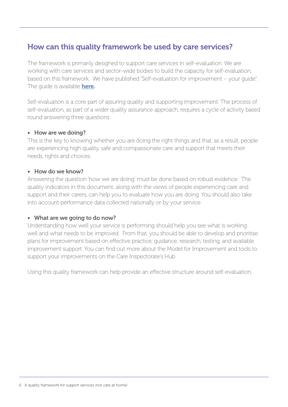### How can this quality framework be used by care services?

The framework is primarily designed to support care services in self-evaluation. We are working with care services and sector-wide bodies to build the capacity for self-evaluation, based on this framework. We have published "Self-evaluation for improvement – your guide". The guide is available **here.** 

Self-evaluation is a core part of assuring quality and supporting improvement. The process of self-evaluation, as part of a wider quality assurance approach, requires a cycle of activity based round answering three questions:

#### • How are we doing?

This is the key to knowing whether you are doing the right things and that, as a result, people are experiencing high quality, safe and compassionate care and support that meets their needs, rights and choices.

#### • How do we know?

Answering the question 'how we are doing' must be done based on robust evidence. The quality indicators in this document, along with the views of people experiencing care and support and their carers, can help you to evaluate how you are doing. You should also take into account performance data collected nationally or by your service.

#### • What are we going to do now?

Understanding how well your service is performing should help you see what is working well and what needs to be improved. From that, you should be able to develop and prioritise plans for improvement based on effective practice, guidance, research, testing, and available improvement support. You can find out more about the Model for Improvement and tools to support your improvements on the Care Inspectorate's Hub.

Using this quality framework can help provide an effective structure around self-evaluation.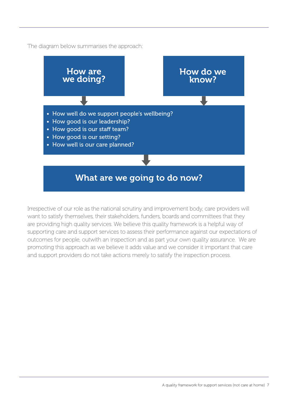The diagram below summarises the approach:



Irrespective of our role as the national scrutiny and improvement body, care providers will want to satisfy themselves, their stakeholders, funders, boards and committees that they are providing high quality services. We believe this quality framework is a helpful way of supporting care and support services to assess their performance against our expectations of outcomes for people, outwith an inspection and as part your own quality assurance. We are promoting this approach as we believe it adds value and we consider it important that care and support providers do not take actions merely to satisfy the inspection process.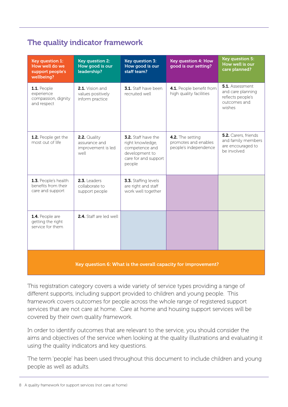## The quality indicator framework

| <b>Key question 1:</b><br>How well do we<br>support people's<br>wellbeing? | <b>Key question 2:</b><br>How good is our<br>leadership?    | <b>Key question 3:</b><br>How good is our<br>staff team?                                                      | <b>Key question 4: How</b><br>good is our setting?                | <b>Key question 5:</b><br>How well is our<br>care planned?                                 |
|----------------------------------------------------------------------------|-------------------------------------------------------------|---------------------------------------------------------------------------------------------------------------|-------------------------------------------------------------------|--------------------------------------------------------------------------------------------|
| 1.1. People<br>experience<br>compassion, dignity<br>and respect            | 2.1. Vision and<br>values positively<br>inform practice     | 3.1. Staff have been<br>recruited well                                                                        | 4.1. People benefit from<br>high quality facilities               | <b>5.1.</b> Assessment<br>and care planning<br>reflects people's<br>outcomes and<br>wishes |
| 1.2. People get the<br>most out of life.                                   | 2.2. Quality<br>assurance and<br>improvement is led<br>well | 3.2. Staff have the<br>right knowledge,<br>competence and<br>development to<br>care for and support<br>people | 4.2. The setting<br>promotes and enables<br>people's independence | 5.2. Carers, friends<br>and family members<br>are encouraged to<br>be involved             |
| 1.3. People's health<br>benefits from their<br>care and support            | $2.3$ . Leaders<br>collaborate to<br>support people         | 3.3. Staffing levels<br>are right and staff<br>work well together                                             |                                                                   |                                                                                            |
| 1.4. People are<br>getting the right<br>service for them                   | 2.4. Staff are led well                                     |                                                                                                               |                                                                   |                                                                                            |
|                                                                            | <b>CONSTRUCTION</b>                                         |                                                                                                               |                                                                   |                                                                                            |

Key question 6: What is the overall capacity for improvement?

This registration category covers a wide variety of service types providing a range of different supports, including support provided to children and young people. This framework covers outcomes for people across the whole range of registered support services that are not care at home. Care at home and housing support services will be covered by their own quality framework.

In order to identify outcomes that are relevant to the service, you should consider the aims and objectives of the service when looking at the quality illustrations and evaluating it using the quality indicators and key questions.

The term 'people' has been used throughout this document to include children and young people as well as adults.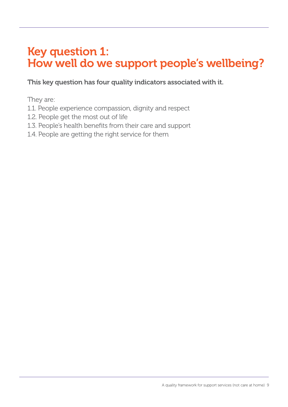# Key question 1: How well do we support people's wellbeing?

This key question has four quality indicators associated with it.

They are:

- 1.1. People experience compassion, dignity and respect
- 1.2. People get the most out of life
- 1.3. People's health benefits from their care and support
- 1.4. People are getting the right service for them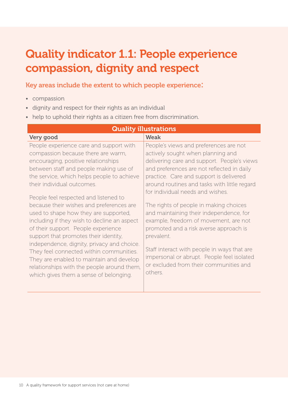# Quality indicator 1.1: People experience compassion, dignity and respect

#### Key areas include the extent to which people experience:

- compassion
- dignity and respect for their rights as an individual
- help to uphold their rights as a citizen free from discrimination.

| <b>Quality illustrations</b>                |                                              |  |  |
|---------------------------------------------|----------------------------------------------|--|--|
| Very good                                   | <b>Weak</b>                                  |  |  |
| People experience care and support with     | People's views and preferences are not       |  |  |
| compassion because there are warm,          | actively sought when planning and            |  |  |
| encouraging, positive relationships         | delivering care and support. People's views  |  |  |
| between staff and people making use of      | and preferences are not reflected in daily   |  |  |
| the service, which helps people to achieve  | practice. Care and support is delivered      |  |  |
| their individual outcomes.                  | around routines and tasks with little regard |  |  |
|                                             | for individual needs and wishes.             |  |  |
| People feel respected and listened to       |                                              |  |  |
| because their wishes and preferences are    | The rights of people in making choices       |  |  |
| used to shape how they are supported,       | and maintaining their independence, for      |  |  |
| including if they wish to decline an aspect | example, freedom of movement, are not        |  |  |
| of their support. People experience         | promoted and a risk averse approach is       |  |  |
| support that promotes their identity,       | prevalent.                                   |  |  |
| independence, dignity, privacy and choice.  |                                              |  |  |
| They feel connected within communities.     | Staff interact with people in ways that are  |  |  |
| They are enabled to maintain and develop    | impersonal or abrupt. People feel isolated   |  |  |
| relationships with the people around them,  | or excluded from their communities and       |  |  |
| which gives them a sense of belonging.      | others.                                      |  |  |
|                                             |                                              |  |  |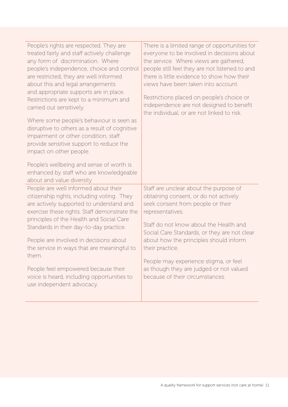| People's rights are respected. They are<br>treated fairly and staff actively challenge<br>any form of discrimination. Where<br>people's independence, choice and control<br>are restricted, they are well informed<br>about this and legal arrangements<br>and appropriate supports are in place.<br>Restrictions are kept to a minimum and<br>carried out sensitively.<br>Where some people's behaviour is seen as<br>disruptive to others as a result of cognitive<br>impairment or other condition, staff<br>provide sensitive support to reduce the<br>impact on other people.<br>People's wellbeing and sense of worth is<br>enhanced by staff who are knowledgeable<br>about and value diversity | There is a limited range of opportunities for<br>everyone to be involved in decisions about<br>the service. Where views are gathered,<br>people still feel they are not listened to and<br>there is little evidence to show how their<br>views have been taken into account.<br>Restrictions placed on people's choice or<br>independence are not designed to benefit<br>the individual, or are not linked to risk.    |
|--------------------------------------------------------------------------------------------------------------------------------------------------------------------------------------------------------------------------------------------------------------------------------------------------------------------------------------------------------------------------------------------------------------------------------------------------------------------------------------------------------------------------------------------------------------------------------------------------------------------------------------------------------------------------------------------------------|------------------------------------------------------------------------------------------------------------------------------------------------------------------------------------------------------------------------------------------------------------------------------------------------------------------------------------------------------------------------------------------------------------------------|
| People are well informed about their<br>citizenship rights, including voting. They<br>are actively supported to understand and<br>exercise these rights. Staff demonstrate the<br>principles of the Health and Social Care<br>Standards in their day-to-day practice.<br>People are involved in decisions about<br>the service in ways that are meaningful to<br>them.<br>People feel empowered because their<br>voice is heard, including opportunities to<br>use independent advocacy.                                                                                                                                                                                                               | Staff are unclear about the purpose of<br>obtaining consent, or do not actively<br>seek consent from people or their<br>representatives.<br>Staff do not know about the Health and<br>Social Care Standards, or they are not clear<br>about how the principles should inform<br>their practice.<br>People may experience stigma, or feel<br>as though they are judged or not valued<br>because of their circumstances. |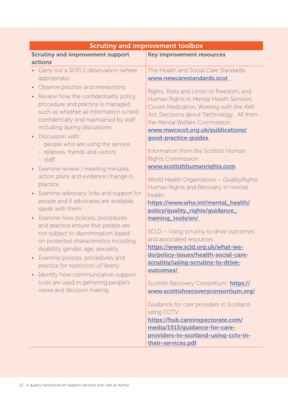| <b>Scrutiny and improvement toolbox</b>                                                                                                                                                                                                                                                                                                                                                                                                                                                                                                                                                                                                                                                                                                                                                                                                                                                                                                                                                                                                                                                                                         |  |  |  |
|---------------------------------------------------------------------------------------------------------------------------------------------------------------------------------------------------------------------------------------------------------------------------------------------------------------------------------------------------------------------------------------------------------------------------------------------------------------------------------------------------------------------------------------------------------------------------------------------------------------------------------------------------------------------------------------------------------------------------------------------------------------------------------------------------------------------------------------------------------------------------------------------------------------------------------------------------------------------------------------------------------------------------------------------------------------------------------------------------------------------------------|--|--|--|
| <b>Key improvement resources</b>                                                                                                                                                                                                                                                                                                                                                                                                                                                                                                                                                                                                                                                                                                                                                                                                                                                                                                                                                                                                                                                                                                |  |  |  |
| The Health and Social Care Standards:<br>www.newcarestandards.scot<br>Rights, Risks and Limits to Freedom, and<br>Human Rights in Mental Health Services,<br>Covert Medication, Working with the AWI<br>Act, Decisions about Technology. All from<br>the Mental Welfare Commission:<br>www.mwcscot.org.uk/publications/<br>good-practice-guides<br>Information from the Scottish Human<br>Rights Commission:<br>www.scottishhumanrights.com<br>World Health Organisation - Quality Rights:<br>Human Rights and Recovery in mental<br>health:<br>https://www.who.int/mental_health/<br>policy/quality_rights/guidance_<br>training_tools/en/<br>SCLD - Using scrutiny to drive outcomes<br>and associated resources:<br>https://www.scld.org.uk/what-we-<br>do/policy-issues/health-social-care-<br>scrutiny/using-scrutiny-to-drive-<br>outcomes/<br>Scottish Recovery Consortium: https://<br>www.scottishrecoveryconsortium.org/<br>Guidance for care providers in Scotland<br>using CCTV<br>https://hub.careinspectorate.com/<br>media/1515/guidance-for-care-<br>providers-in-scotland-using-cctv-in-<br>their-services.pdf |  |  |  |
|                                                                                                                                                                                                                                                                                                                                                                                                                                                                                                                                                                                                                                                                                                                                                                                                                                                                                                                                                                                                                                                                                                                                 |  |  |  |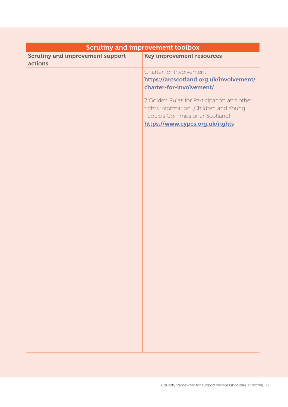| <b>Scrutiny and improvement toolbox</b> |                                                                     |  |
|-----------------------------------------|---------------------------------------------------------------------|--|
| <b>Scrutiny and improvement support</b> | <b>Key improvement resources</b>                                    |  |
| actions                                 |                                                                     |  |
|                                         | Charter for Involvement:                                            |  |
|                                         | https://arcscotland.org.uk/involvement/<br>charter-for-involvement/ |  |
|                                         |                                                                     |  |
|                                         | 7 Golden Rules for Participation and other                          |  |
|                                         | rights information (Children and Young                              |  |
|                                         | People's Commissioner Scotland):                                    |  |
|                                         | https://www.cypcs.org.uk/rights                                     |  |
|                                         |                                                                     |  |
|                                         |                                                                     |  |
|                                         |                                                                     |  |
|                                         |                                                                     |  |
|                                         |                                                                     |  |
|                                         |                                                                     |  |
|                                         |                                                                     |  |
|                                         |                                                                     |  |
|                                         |                                                                     |  |
|                                         |                                                                     |  |
|                                         |                                                                     |  |
|                                         |                                                                     |  |
|                                         |                                                                     |  |
|                                         |                                                                     |  |
|                                         |                                                                     |  |
|                                         |                                                                     |  |
|                                         |                                                                     |  |
|                                         |                                                                     |  |
|                                         |                                                                     |  |
|                                         |                                                                     |  |
|                                         |                                                                     |  |
|                                         |                                                                     |  |
|                                         |                                                                     |  |
|                                         |                                                                     |  |
|                                         |                                                                     |  |
|                                         |                                                                     |  |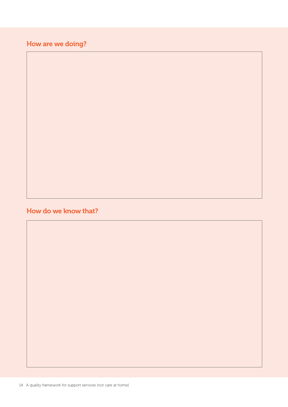How are we doing?

### How do we know that?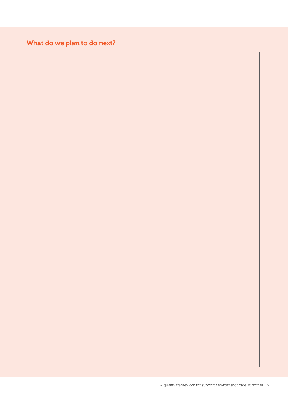## What do we plan to do next?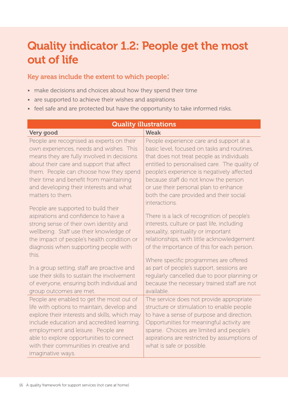# Quality indicator 1.2: People get the most out of life

#### Key areas include the extent to which people:

- make decisions and choices about how they spend their time
- are supported to achieve their wishes and aspirations
- feel safe and are protected but have the opportunity to take informed risks.

| <b>Quality illustrations</b>                                                                                                                                                                                                                                                                                                            |                                                                                                                                                                                                                                                                                                                                                                                 |  |  |
|-----------------------------------------------------------------------------------------------------------------------------------------------------------------------------------------------------------------------------------------------------------------------------------------------------------------------------------------|---------------------------------------------------------------------------------------------------------------------------------------------------------------------------------------------------------------------------------------------------------------------------------------------------------------------------------------------------------------------------------|--|--|
| <b>Very good</b>                                                                                                                                                                                                                                                                                                                        | <b>Weak</b>                                                                                                                                                                                                                                                                                                                                                                     |  |  |
| People are recognised as experts on their<br>own experiences, needs and wishes. This<br>means they are fully involved in decisions<br>about their care and support that affect<br>them. People can choose how they spend<br>their time and benefit from maintaining<br>and developing their interests and what<br>matters to them.      | People experience care and support at a<br>basic level, focused on tasks and routines,<br>that does not treat people as individuals<br>entitled to personalised care. The quality of<br>people's experience is negatively affected<br>because staff do not know the person<br>or use their personal plan to enhance<br>both the care provided and their social<br>interactions. |  |  |
| People are supported to build their<br>aspirations and confidence to have a<br>strong sense of their own identity and<br>wellbeing. Staff use their knowledge of<br>the impact of people's health condition or<br>diagnosis when supporting people with<br>this.                                                                        | There is a lack of recognition of people's<br>interests, culture or past life, including<br>sexuality, spirituality or important<br>relationships, with little acknowledgement<br>of the importance of this for each person.<br>Where specific programmes are offered                                                                                                           |  |  |
| In a group setting, staff are proactive and<br>use their skills to sustain the involvement<br>of everyone, ensuring both individual and<br>group outcomes are met.                                                                                                                                                                      | as part of people's support, sessions are<br>regularly cancelled due to poor planning or<br>because the necessary trained staff are not<br>available.                                                                                                                                                                                                                           |  |  |
| People are enabled to get the most out of<br>life with options to maintain, develop and<br>explore their interests and skills, which may<br>include education and accredited learning,<br>employment and leisure. People are<br>able to explore opportunities to connect<br>with their communities in creative and<br>imaginative ways. | The service does not provide appropriate<br>structure or stimulation to enable people<br>to have a sense of purpose and direction.<br>Opportunities for meaningful activity are<br>sparse. Choices are limited and people's<br>aspirations are restricted by assumptions of<br>what is safe or possible.                                                                        |  |  |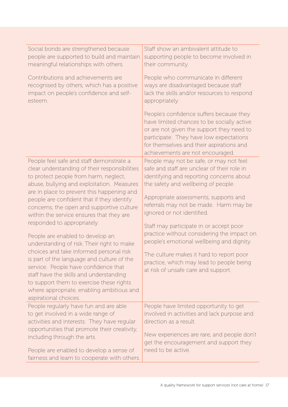| Social bonds are strengthened because                                                                                                                                                                                                                                                      | Staff show an ambivalent attitude to                                                                                                                                                                                                                           |
|--------------------------------------------------------------------------------------------------------------------------------------------------------------------------------------------------------------------------------------------------------------------------------------------|----------------------------------------------------------------------------------------------------------------------------------------------------------------------------------------------------------------------------------------------------------------|
| people are supported to build and maintain                                                                                                                                                                                                                                                 | supporting people to become involved in                                                                                                                                                                                                                        |
| meaningful relationships with others.                                                                                                                                                                                                                                                      | their community.                                                                                                                                                                                                                                               |
| Contributions and achievements are                                                                                                                                                                                                                                                         | People who communicate in different                                                                                                                                                                                                                            |
| recognised by others, which has a positive                                                                                                                                                                                                                                                 | ways are disadvantaged because staff                                                                                                                                                                                                                           |
| impact on people's confidence and self-                                                                                                                                                                                                                                                    | lack the skills and/or resources to respond                                                                                                                                                                                                                    |
| esteem.                                                                                                                                                                                                                                                                                    | appropriately.                                                                                                                                                                                                                                                 |
|                                                                                                                                                                                                                                                                                            | People's confidence suffers because they<br>have limited chances to be socially active<br>or are not given the support they need to<br>participate. They have low expectations<br>for themselves and their aspirations and<br>achievements are not encouraged. |
| People feel safe and staff demonstrate a                                                                                                                                                                                                                                                   | People may not be safe, or may not feel                                                                                                                                                                                                                        |
| clear understanding of their responsibilities                                                                                                                                                                                                                                              | safe and staff are unclear of their role in                                                                                                                                                                                                                    |
| to protect people from harm, neglect,                                                                                                                                                                                                                                                      | identifying and reporting concerns about                                                                                                                                                                                                                       |
| abuse, bullying and exploitation. Measures                                                                                                                                                                                                                                                 | the safety and wellbeing of people.                                                                                                                                                                                                                            |
| are in place to prevent this happening and<br>people are confident that if they identify<br>concerns, the open and supportive culture<br>within the service ensures that they are                                                                                                          | Appropriate assessments, supports and<br>referrals may not be made. Harm may be<br>ignored or not identified.                                                                                                                                                  |
| responded to appropriately.                                                                                                                                                                                                                                                                | Staff may participate in or accept poor                                                                                                                                                                                                                        |
| People are enabled to develop an                                                                                                                                                                                                                                                           | practice without considering the impact on                                                                                                                                                                                                                     |
| understanding of risk. Their right to make                                                                                                                                                                                                                                                 | people's emotional wellbeing and dignity.                                                                                                                                                                                                                      |
| choices and take informed personal risk<br>is part of the language and culture of the<br>service. People have confidence that<br>staff have the skills and understanding<br>to support them to exercise these rights<br>where appropriate, enabling ambitious and<br>aspirational choices. | The culture makes it hard to report poor<br>practice, which may lead to people being<br>at risk of unsafe care and support.                                                                                                                                    |
| People regularly have fun and are able                                                                                                                                                                                                                                                     | People have limited opportunity to get                                                                                                                                                                                                                         |
| to get involved in a wide range of                                                                                                                                                                                                                                                         | involved in activities and lack purpose and                                                                                                                                                                                                                    |
| activities and interests. They have regular                                                                                                                                                                                                                                                | direction as a result.                                                                                                                                                                                                                                         |
| opportunities that promote their creativity,<br>including through the arts.<br>People are enabled to develop a sense of<br>fairness and learn to cooperate with others.                                                                                                                    | New experiences are rare, and people don't<br>get the encouragement and support they<br>need to be active.                                                                                                                                                     |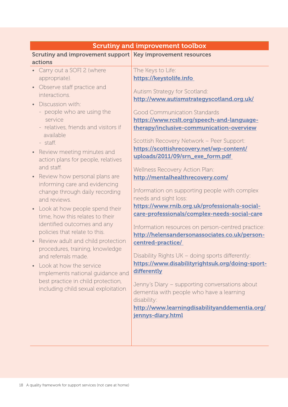| <b>Scrutiny and improvement toolbox</b>                                                                                                                                                                                                                                                                                                                                                                                                                                                                                                                                                                                                                                                                                                                                                                                                                                      |                                                                                                                                                                                                                                                                                                                                                                                                                                                                                                                                                                                                                                                                                                                                                                                                                                                                                                                                                                                                                                                                               |  |
|------------------------------------------------------------------------------------------------------------------------------------------------------------------------------------------------------------------------------------------------------------------------------------------------------------------------------------------------------------------------------------------------------------------------------------------------------------------------------------------------------------------------------------------------------------------------------------------------------------------------------------------------------------------------------------------------------------------------------------------------------------------------------------------------------------------------------------------------------------------------------|-------------------------------------------------------------------------------------------------------------------------------------------------------------------------------------------------------------------------------------------------------------------------------------------------------------------------------------------------------------------------------------------------------------------------------------------------------------------------------------------------------------------------------------------------------------------------------------------------------------------------------------------------------------------------------------------------------------------------------------------------------------------------------------------------------------------------------------------------------------------------------------------------------------------------------------------------------------------------------------------------------------------------------------------------------------------------------|--|
| Scrutiny and improvement support Key improvement resources                                                                                                                                                                                                                                                                                                                                                                                                                                                                                                                                                                                                                                                                                                                                                                                                                   |                                                                                                                                                                                                                                                                                                                                                                                                                                                                                                                                                                                                                                                                                                                                                                                                                                                                                                                                                                                                                                                                               |  |
| actions<br>Carry out a SOFI 2 (where<br>appropriate).<br>Observe staff practice and<br>$\bullet$<br>interactions.<br>Discussion with:<br>- people who are using the<br>service<br>- relatives, friends and visitors if<br>available<br>- staff.<br>Review meeting minutes and<br>$\bullet$<br>action plans for people, relatives<br>and staff.<br>Review how personal plans are<br>$\bullet$<br>informing care and evidencing<br>change through daily recording<br>and reviews.<br>Look at how people spend their<br>$\bullet$<br>time, how this relates to their<br>identified outcomes and any<br>policies that relate to this.<br>Review adult and child protection<br>procedures, training, knowledge<br>and referrals made.<br>Look at how the service<br>implements national quidance and<br>best practice in child protection,<br>including child sexual exploitation | The Keys to Life:<br>https://keystolife.info<br>Autism Strategy for Scotland:<br>http://www.autismstrategyscotland.org.uk/<br><b>Good Communication Standards</b><br>https://www.rcslt.org/speech-and-language-<br>therapy/inclusive-communication-overview<br>Scottish Recovery Network - Peer Support:<br>https://scottishrecovery.net/wp-content/<br>uploads/2011/09/srn_exe_form.pdf<br>Wellness Recovery Action Plan:<br>http://mentalhealthrecovery.com/<br>Information on supporting people with complex<br>needs and sight loss:<br>https://www.rnib.org.uk/professionals-social-<br>care-professionals/complex-needs-social-care<br>Information resources on person-centred practice:<br>http://helensandersonassociates.co.uk/person-<br>centred-practice/<br>Disability Rights UK - doing sports differently:<br>https://www.disabilityrightsuk.org/doing-sport-<br>differently<br>Jenny's Diary - supporting conversations about<br>dementia with people who have a learning<br>disability:<br>http://www.learningdisabilityanddementia.org/<br>jennys-diary.html |  |
|                                                                                                                                                                                                                                                                                                                                                                                                                                                                                                                                                                                                                                                                                                                                                                                                                                                                              |                                                                                                                                                                                                                                                                                                                                                                                                                                                                                                                                                                                                                                                                                                                                                                                                                                                                                                                                                                                                                                                                               |  |
|                                                                                                                                                                                                                                                                                                                                                                                                                                                                                                                                                                                                                                                                                                                                                                                                                                                                              |                                                                                                                                                                                                                                                                                                                                                                                                                                                                                                                                                                                                                                                                                                                                                                                                                                                                                                                                                                                                                                                                               |  |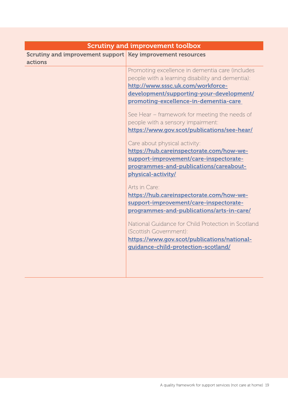| <b>Scrutiny and improvement toolbox</b>                               |                                                                                                                                                                                     |
|-----------------------------------------------------------------------|-------------------------------------------------------------------------------------------------------------------------------------------------------------------------------------|
| Scrutiny and improvement support Key improvement resources<br>actions |                                                                                                                                                                                     |
|                                                                       | Promoting excellence in dementia care (includes<br>people with a learning disability and dementia):<br>http://www.sssc.uk.com/workforce-                                            |
|                                                                       | development/supporting-your-development/<br>promoting-excellence-in-dementia-care                                                                                                   |
|                                                                       | See Hear – framework for meeting the needs of<br>people with a sensory impairment:<br>https://www.gov.scot/publications/see-hear/                                                   |
|                                                                       | Care about physical activity:<br>https://hub.careinspectorate.com/how-we-<br>support-improvement/care-inspectorate-<br>programmes-and-publications/careabout-<br>physical-activity/ |
|                                                                       | Arts in Care:<br>https://hub.careinspectorate.com/how-we-<br>support-improvement/care-inspectorate-<br>programmes-and-publications/arts-in-care/                                    |
|                                                                       | National Guidance for Child Protection in Scotland<br>(Scottish Government):<br>https://www.gov.scot/publications/national-<br>guidance-child-protection-scotland/                  |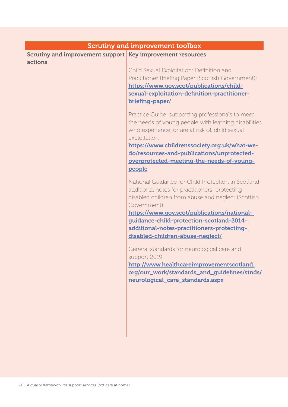| <b>Scrutiny and improvement toolbox</b>                    |                                                      |  |
|------------------------------------------------------------|------------------------------------------------------|--|
| Scrutiny and improvement support Key improvement resources |                                                      |  |
| actions                                                    |                                                      |  |
|                                                            | Child Sexual Exploitation: Definition and            |  |
|                                                            | Practitioner Briefing Paper (Scottish Government):   |  |
|                                                            | https://www.gov.scot/publications/child-             |  |
|                                                            | sexual-exploitation-definition-practitioner-         |  |
|                                                            | briefing-paper/                                      |  |
|                                                            | Practice Guide: supporting professionals to meet     |  |
|                                                            | the needs of young people with learning disabilities |  |
|                                                            | who experience, or are at risk of, child sexual      |  |
|                                                            | exploitation                                         |  |
|                                                            | https://www.childrenssociety.org.uk/what-we-         |  |
|                                                            | do/resources-and-publications/unprotected-           |  |
|                                                            | overprotected-meeting-the-needs-of-young-            |  |
|                                                            | people                                               |  |
|                                                            | National Guidance for Child Protection in Scotland:  |  |
|                                                            | additional notes for practitioners: protecting       |  |
|                                                            | disabled children from abuse and neglect (Scottish   |  |
|                                                            | Government):                                         |  |
|                                                            | https://www.gov.scot/publications/national-          |  |
|                                                            | guidance-child-protection-scotland-2014-             |  |
|                                                            | additional-notes-practitioners-protecting-           |  |
|                                                            | disabled-children-abuse-neglect/                     |  |
|                                                            | General standards for neurological care and          |  |
|                                                            | support 2019                                         |  |
|                                                            | http://www.healthcareimprovementscotland.            |  |
|                                                            | org/our_work/standards_and_guidelines/stnds/         |  |
|                                                            | neurological_care_standards.aspx                     |  |
|                                                            |                                                      |  |
|                                                            |                                                      |  |
|                                                            |                                                      |  |
|                                                            |                                                      |  |
|                                                            |                                                      |  |
|                                                            |                                                      |  |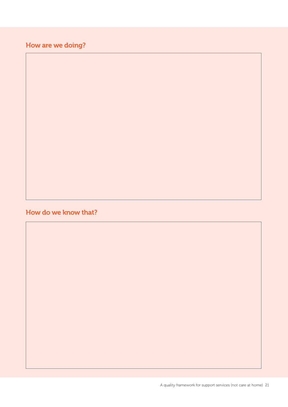## How are we doing?

### How do we know that?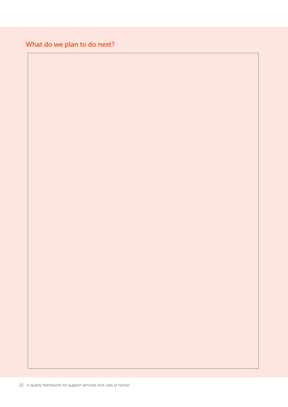## What do we plan to do next?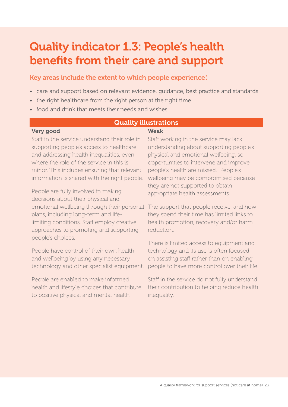# Quality indicator 1.3: People's health benefits from their care and support

Key areas include the extent to which people experience:

- care and support based on relevant evidence, guidance, best practice and standards
- the right healthcare from the right person at the right time
- food and drink that meets their needs and wishes.

| <b>Weak</b><br>Staff in the service understand their role in<br>Staff working in the service may lack<br>understanding about supporting people's<br>supporting people's access to healthcare<br>and addressing health inequalities, even<br>physical and emotional wellbeing, so<br>opportunities to intervene and improve<br>minor. This includes ensuring that relevant<br>people's health are missed. People's<br>information is shared with the right people.<br>wellbeing may be compromised because<br>they are not supported to obtain<br>People are fully involved in making<br>appropriate health assessments.<br>decisions about their physical and<br>emotional wellbeing through their personal<br>The support that people receive, and how<br>they spend their time has limited links to<br>plans, including long-term and life-<br>health promotion, recovery and/or harm<br>limiting conditions. Staff employ creative<br>approaches to promoting and supporting<br>reduction.<br>people's choices.<br>There is limited access to equipment and<br>People have control of their own health<br>technology and its use is often focused<br>and wellbeing by using any necessary<br>on assisting staff rather than on enabling | <b>Quality illustrations</b>               |                                              |  |  |
|--------------------------------------------------------------------------------------------------------------------------------------------------------------------------------------------------------------------------------------------------------------------------------------------------------------------------------------------------------------------------------------------------------------------------------------------------------------------------------------------------------------------------------------------------------------------------------------------------------------------------------------------------------------------------------------------------------------------------------------------------------------------------------------------------------------------------------------------------------------------------------------------------------------------------------------------------------------------------------------------------------------------------------------------------------------------------------------------------------------------------------------------------------------------------------------------------------------------------------------------|--------------------------------------------|----------------------------------------------|--|--|
|                                                                                                                                                                                                                                                                                                                                                                                                                                                                                                                                                                                                                                                                                                                                                                                                                                                                                                                                                                                                                                                                                                                                                                                                                                            | Very good                                  |                                              |  |  |
|                                                                                                                                                                                                                                                                                                                                                                                                                                                                                                                                                                                                                                                                                                                                                                                                                                                                                                                                                                                                                                                                                                                                                                                                                                            |                                            |                                              |  |  |
|                                                                                                                                                                                                                                                                                                                                                                                                                                                                                                                                                                                                                                                                                                                                                                                                                                                                                                                                                                                                                                                                                                                                                                                                                                            |                                            |                                              |  |  |
|                                                                                                                                                                                                                                                                                                                                                                                                                                                                                                                                                                                                                                                                                                                                                                                                                                                                                                                                                                                                                                                                                                                                                                                                                                            |                                            |                                              |  |  |
|                                                                                                                                                                                                                                                                                                                                                                                                                                                                                                                                                                                                                                                                                                                                                                                                                                                                                                                                                                                                                                                                                                                                                                                                                                            | where the role of the service in this is   |                                              |  |  |
|                                                                                                                                                                                                                                                                                                                                                                                                                                                                                                                                                                                                                                                                                                                                                                                                                                                                                                                                                                                                                                                                                                                                                                                                                                            |                                            |                                              |  |  |
|                                                                                                                                                                                                                                                                                                                                                                                                                                                                                                                                                                                                                                                                                                                                                                                                                                                                                                                                                                                                                                                                                                                                                                                                                                            |                                            |                                              |  |  |
|                                                                                                                                                                                                                                                                                                                                                                                                                                                                                                                                                                                                                                                                                                                                                                                                                                                                                                                                                                                                                                                                                                                                                                                                                                            |                                            |                                              |  |  |
|                                                                                                                                                                                                                                                                                                                                                                                                                                                                                                                                                                                                                                                                                                                                                                                                                                                                                                                                                                                                                                                                                                                                                                                                                                            |                                            |                                              |  |  |
|                                                                                                                                                                                                                                                                                                                                                                                                                                                                                                                                                                                                                                                                                                                                                                                                                                                                                                                                                                                                                                                                                                                                                                                                                                            |                                            |                                              |  |  |
|                                                                                                                                                                                                                                                                                                                                                                                                                                                                                                                                                                                                                                                                                                                                                                                                                                                                                                                                                                                                                                                                                                                                                                                                                                            |                                            |                                              |  |  |
|                                                                                                                                                                                                                                                                                                                                                                                                                                                                                                                                                                                                                                                                                                                                                                                                                                                                                                                                                                                                                                                                                                                                                                                                                                            |                                            |                                              |  |  |
|                                                                                                                                                                                                                                                                                                                                                                                                                                                                                                                                                                                                                                                                                                                                                                                                                                                                                                                                                                                                                                                                                                                                                                                                                                            |                                            |                                              |  |  |
|                                                                                                                                                                                                                                                                                                                                                                                                                                                                                                                                                                                                                                                                                                                                                                                                                                                                                                                                                                                                                                                                                                                                                                                                                                            |                                            |                                              |  |  |
|                                                                                                                                                                                                                                                                                                                                                                                                                                                                                                                                                                                                                                                                                                                                                                                                                                                                                                                                                                                                                                                                                                                                                                                                                                            |                                            |                                              |  |  |
|                                                                                                                                                                                                                                                                                                                                                                                                                                                                                                                                                                                                                                                                                                                                                                                                                                                                                                                                                                                                                                                                                                                                                                                                                                            |                                            |                                              |  |  |
|                                                                                                                                                                                                                                                                                                                                                                                                                                                                                                                                                                                                                                                                                                                                                                                                                                                                                                                                                                                                                                                                                                                                                                                                                                            |                                            |                                              |  |  |
|                                                                                                                                                                                                                                                                                                                                                                                                                                                                                                                                                                                                                                                                                                                                                                                                                                                                                                                                                                                                                                                                                                                                                                                                                                            | technology and other specialist equipment. | people to have more control over their life. |  |  |
| Staff in the service do not fully understand<br>People are enabled to make informed                                                                                                                                                                                                                                                                                                                                                                                                                                                                                                                                                                                                                                                                                                                                                                                                                                                                                                                                                                                                                                                                                                                                                        |                                            |                                              |  |  |
| health and lifestyle choices that contribute<br>their contribution to helping reduce health                                                                                                                                                                                                                                                                                                                                                                                                                                                                                                                                                                                                                                                                                                                                                                                                                                                                                                                                                                                                                                                                                                                                                |                                            |                                              |  |  |
| to positive physical and mental health.<br>inequality.                                                                                                                                                                                                                                                                                                                                                                                                                                                                                                                                                                                                                                                                                                                                                                                                                                                                                                                                                                                                                                                                                                                                                                                     |                                            |                                              |  |  |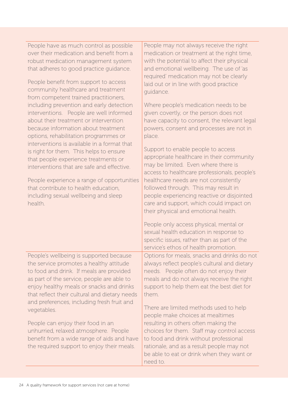| People have as much control as possible  |
|------------------------------------------|
| over their medication and benefit from a |
| robust medication management system      |
| that adheres to good practice quidance.  |

People benefit from support to access community healthcare and treatment from competent trained practitioners, including prevention and early detection interventions. People are well informed about their treatment or intervention because information about treatment options, rehabilitation programmes or interventions is available in a format that is right for them. This helps to ensure that people experience treatments or interventions that are safe and effective.

People experience a range of opportunities that contribute to health education, including sexual wellbeing and sleep health.

People's wellbeing is supported because the service promotes a healthy attitude to food and drink. If meals are provided as part of the service, people are able to enjoy healthy meals or snacks and drinks that reflect their cultural and dietary needs and preferences, including fresh fruit and vegetables.

People can enjoy their food in an unhurried, relaxed atmosphere. People benefit from a wide range of aids and have the required support to enjoy their meals.

People may not always receive the right medication or treatment at the right time, with the potential to affect their physical and emotional wellbeing. The use of 'as required' medication may not be clearly laid out or in line with good practice guidance.

Where people's medication needs to be given covertly, or the person does not have capacity to consent, the relevant legal powers, consent and processes are not in place.

Support to enable people to access appropriate healthcare in their community may be limited. Even where there is access to healthcare professionals, people's healthcare needs are not consistently followed through. This may result in people experiencing reactive or disjointed care and support, which could impact on their physical and emotional health.

People only access physical, mental or sexual health education in response to specific issues, rather than as part of the service's ethos of health promotion.

Options for meals, snacks and drinks do not always reflect people's cultural and dietary needs. People often do not enjoy their meals and do not always receive the right support to help them eat the best diet for them.

There are limited methods used to help people make choices at mealtimes resulting in others often making the choices for them. Staff may control access to food and drink without professional rationale, and as a result people may not be able to eat or drink when they want or need to.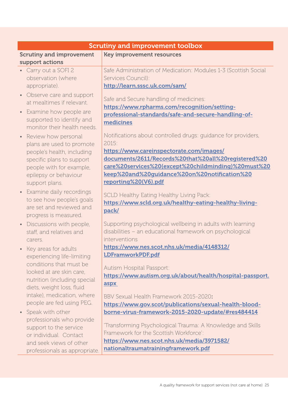| <b>Scrutiny and improvement toolbox</b> |                                                                 |  |
|-----------------------------------------|-----------------------------------------------------------------|--|
| <b>Scrutiny and improvement</b>         | <b>Key improvement resources</b>                                |  |
| support actions                         |                                                                 |  |
| • Carry out a SOFI 2                    | Safe Administration of Medication: Modules 1-3 (Scottish Social |  |
| observation (where                      | Services Council):                                              |  |
| appropriate).                           | http://learn.sssc.uk.com/sam/                                   |  |
| • Observe care and support              | Safe and Secure handling of medicines:                          |  |
| at mealtimes if relevant.               | https://www.rpharms.com/recognition/setting-                    |  |
| • Examine how people are                | professional-standards/safe-and-secure-handling-of-             |  |
| supported to identify and               | medicines                                                       |  |
| monitor their health needs.             |                                                                 |  |
| • Review how personal                   | Notifications about controlled drugs: guidance for providers,   |  |
| plans are used to promote               | 2015:                                                           |  |
| people's health, including              | https://www.careinspectorate.com/images/                        |  |
| specific plans to support               | documents/2611/Records%20that%20all%20registered%20             |  |
| people with for example,                | care%20services%20(except%20childminding)%20must%20             |  |
| epilepsy or behaviour                   | keep%20and%20guidance%20on%20notification%20                    |  |
| support plans.                          | reporting%20(V6).pdf                                            |  |
| • Examine daily recordings              |                                                                 |  |
| to see how people's goals               | SCLD Healthy Eating Healthy Living Pack:                        |  |
| are set and reviewed and                | https://www.scld.org.uk/healthy-eating-healthy-living-          |  |
| progress is measured.                   | pack/                                                           |  |
| • Discussions with people,              | Supporting psychological wellbeing in adults with learning      |  |
| staff, and relatives and                | disabilities - an educational framework on psychological        |  |
| carers.                                 | interventions                                                   |  |
| • Key areas for adults                  | https://www.nes.scot.nhs.uk/media/4148312/                      |  |
| experiencing life-limiting              | <b>LDFramworkPDF.pdf</b>                                        |  |
| conditions that must be                 |                                                                 |  |
| looked at are skin care,                | Autism Hospital Passport:                                       |  |
| nutrition (including special            | https://www.autism.org.uk/about/health/hospital-passport.       |  |
| diets, weight loss, fluid               | aspx                                                            |  |
| intake), medication, where              | BBV Sexual Health Framework 2015-2020:                          |  |
| people are fed using PEG.               | https://www.gov.scot/publications/sexual-health-blood-          |  |
| • Speak with other                      | borne-virus-framework-2015-2020-update/#res484414               |  |
| professionals who provide               |                                                                 |  |
| support to the service                  | 'Transforming Psychological Trauma: A Knowledge and Skills      |  |
| or individual. Contact                  | Framework for the Scottish Workforce':                          |  |
| and seek views of other                 | https://www.nes.scot.nhs.uk/media/3971582/                      |  |
| professionals as appropriate.           | nationaltraumatrainingframework.pdf                             |  |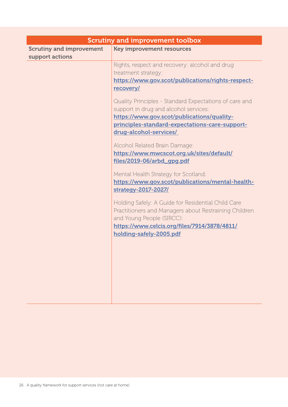| <b>Scrutiny and improvement toolbox</b>            |                                                                           |  |
|----------------------------------------------------|---------------------------------------------------------------------------|--|
| <b>Scrutiny and improvement</b><br>support actions | <b>Key improvement resources</b>                                          |  |
|                                                    | Rights, respect and recovery: alcohol and drug                            |  |
|                                                    | treatment strategy:<br>https://www.gov.scot/publications/rights-respect-  |  |
|                                                    | <u>recovery/</u>                                                          |  |
|                                                    | Quality Principles - Standard Expectations of care and                    |  |
|                                                    | support in drug and alcohol services:                                     |  |
|                                                    | https://www.gov.scot/publications/quality-                                |  |
|                                                    | principles-standard-expectations-care-support-                            |  |
|                                                    | drug-alcohol-services/                                                    |  |
|                                                    | Alcohol Related Brain Damage:                                             |  |
|                                                    | https://www.mwcscot.org.uk/sites/default/                                 |  |
|                                                    | files/2019-06/arbd_gpg.pdf                                                |  |
|                                                    | Mental Health Strategy for Scotland:                                      |  |
|                                                    | https://www.gov.scot/publications/mental-health-                          |  |
|                                                    | strategy-2017-2027/                                                       |  |
|                                                    | Holding Safely: A Guide for Residential Child Care                        |  |
|                                                    | Practitioners and Managers about Restraining Children                     |  |
|                                                    | and Young People (SIRCC):<br>https://www.celcis.org/files/7914/3878/4811/ |  |
|                                                    | holding-safely-2005.pdf                                                   |  |
|                                                    |                                                                           |  |
|                                                    |                                                                           |  |
|                                                    |                                                                           |  |
|                                                    |                                                                           |  |
|                                                    |                                                                           |  |
|                                                    |                                                                           |  |
|                                                    |                                                                           |  |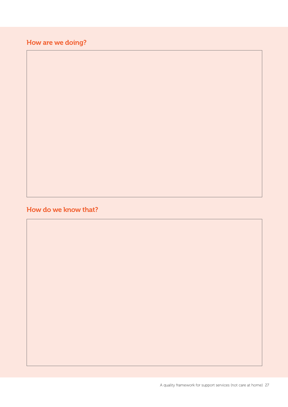## How are we doing?

#### How do we know that?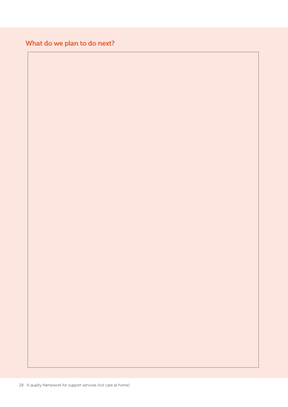## What do we plan to do next?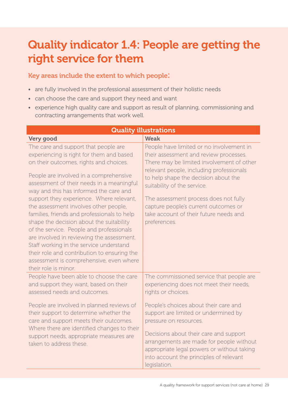# Quality indicator 1.4: People are getting the right service for them

Key areas include the extent to which people:

- are fully involved in the professional assessment of their holistic needs
- can choose the care and support they need and want
- experience high quality care and support as result of planning, commissioning and contracting arrangements that work well.

| <b>Quality illustrations</b>                                                                                                                                                                                                                                                                                                                                                                                                                                                                                                                                                                                                                                                                      |                                                                                                                                                                                                                                                                                                                                                                                               |  |  |
|---------------------------------------------------------------------------------------------------------------------------------------------------------------------------------------------------------------------------------------------------------------------------------------------------------------------------------------------------------------------------------------------------------------------------------------------------------------------------------------------------------------------------------------------------------------------------------------------------------------------------------------------------------------------------------------------------|-----------------------------------------------------------------------------------------------------------------------------------------------------------------------------------------------------------------------------------------------------------------------------------------------------------------------------------------------------------------------------------------------|--|--|
| Very good                                                                                                                                                                                                                                                                                                                                                                                                                                                                                                                                                                                                                                                                                         | <b>Weak</b>                                                                                                                                                                                                                                                                                                                                                                                   |  |  |
| The care and support that people are<br>experiencing is right for them and based<br>on their outcomes, rights and choices.<br>People are involved in a comprehensive<br>assessment of their needs in a meaningful<br>way and this has informed the care and<br>support they experience. Where relevant,<br>the assessment involves other people,<br>families, friends and professionals to help<br>shape the decision about the suitability<br>of the service. People and professionals<br>are involved in reviewing the assessment.<br>Staff working in the service understand<br>their role and contribution to ensuring the<br>assessment is comprehensive, even where<br>their role is minor. | People have limited or no involvement in<br>their assessment and review processes.<br>There may be limited involvement of other<br>relevant people, including professionals<br>to help shape the decision about the<br>suitability of the service.<br>The assessment process does not fully<br>capture people's current outcomes or<br>take account of their future needs and<br>preferences. |  |  |
| People have been able to choose the care<br>and support they want, based on their<br>assessed needs and outcomes.                                                                                                                                                                                                                                                                                                                                                                                                                                                                                                                                                                                 | The commissioned service that people are<br>experiencing does not meet their needs,<br>rights or choices.                                                                                                                                                                                                                                                                                     |  |  |
| People are involved in planned reviews of<br>their support to determine whether the<br>care and support meets their outcomes.<br>Where there are identified changes to their<br>support needs, appropriate measures are<br>taken to address these.                                                                                                                                                                                                                                                                                                                                                                                                                                                | People's choices about their care and<br>support are limited or undermined by<br>pressure on resources.<br>Decisions about their care and support<br>arrangements are made for people without<br>appropriate legal powers or without taking<br>into account the principles of relevant<br>legislation.                                                                                        |  |  |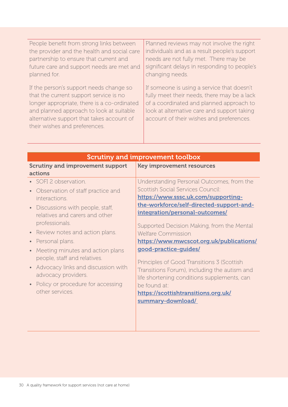| People benefit from strong links between                                                                                                                                                                                                                   | Planned reviews may not involve the right                                                                                                                                                                                        |
|------------------------------------------------------------------------------------------------------------------------------------------------------------------------------------------------------------------------------------------------------------|----------------------------------------------------------------------------------------------------------------------------------------------------------------------------------------------------------------------------------|
| the provider and the health and social care                                                                                                                                                                                                                | individuals and as a result people's support                                                                                                                                                                                     |
| partnership to ensure that current and                                                                                                                                                                                                                     | needs are not fully met. There may be                                                                                                                                                                                            |
| future care and support needs are met and                                                                                                                                                                                                                  | significant delays in responding to people's                                                                                                                                                                                     |
| planned for.                                                                                                                                                                                                                                               | changing needs.                                                                                                                                                                                                                  |
| If the person's support needs change so<br>that the current support service is no<br>longer appropriate, there is a co-ordinated<br>and planned approach to look at suitable<br>alternative support that takes account of<br>their wishes and preferences. | If someone is using a service that doesn't<br>fully meet their needs, there may be a lack<br>of a coordinated and planned approach to<br>look at alternative care and support taking<br>account of their wishes and preferences. |

| <b>Scrutiny and improvement toolbox</b>      |  |  |
|----------------------------------------------|--|--|
| <b>Key improvement resources</b>             |  |  |
|                                              |  |  |
| Understanding Personal Outcomes, from the    |  |  |
| Scottish Social Services Council:            |  |  |
| https://www.sssc.uk.com/supporting-          |  |  |
| the-workforce/self-directed-support-and-     |  |  |
| integration/personal-outcomes/               |  |  |
| Supported Decision Making, from the Mental   |  |  |
| <b>Welfare Commission</b>                    |  |  |
| https://www.mwcscot.org.uk/publications/     |  |  |
| good-practice-guides/                        |  |  |
|                                              |  |  |
| Principles of Good Transitions 3 (Scottish   |  |  |
| Transitions Forum), including the autism and |  |  |
| life shortening conditions supplements, can  |  |  |
| be found at:                                 |  |  |
| https://scottishtransitions.org.uk/          |  |  |
| summary-download/                            |  |  |
|                                              |  |  |
|                                              |  |  |
|                                              |  |  |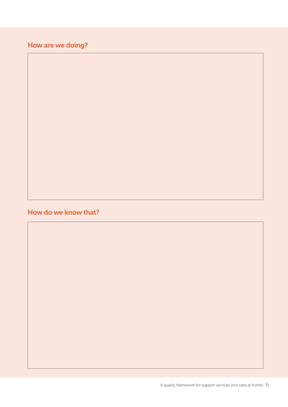## How are we doing?

### How do we know that?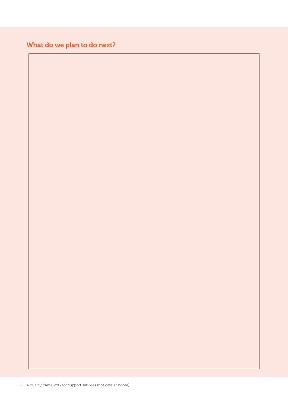### What do we plan to do next?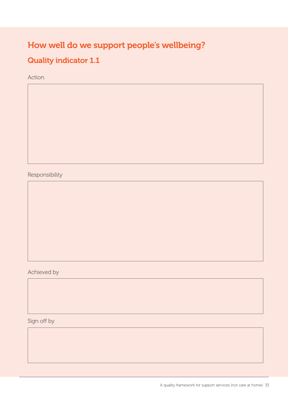## How well do we support people's wellbeing?

## Quality indicator 1.1

Action

Responsibility

Achieved by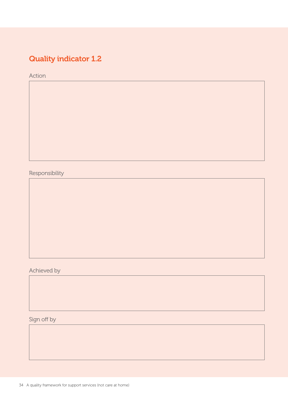## Quality indicator 1.2

Action

Responsibility

Achieved by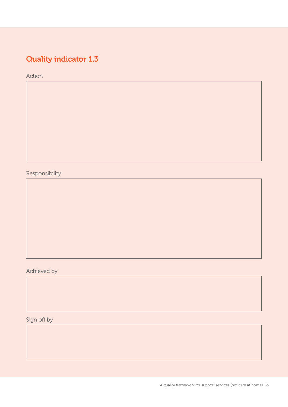## Quality indicator 1.3

Action

Responsibility

Achieved by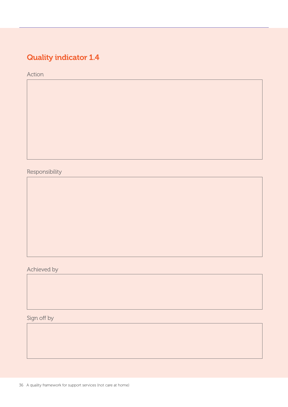## Quality indicator 1.4

Action

Responsibility

Achieved by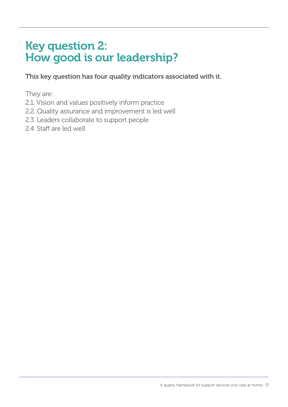# Key question 2: How good is our leadership?

This key question has four quality indicators associated with it.

They are:

- 2.1. Vision and values positively inform practice
- 2.2. Quality assurance and improvement is led well
- 2.3. Leaders collaborate to support people
- 2.4. Staff are led well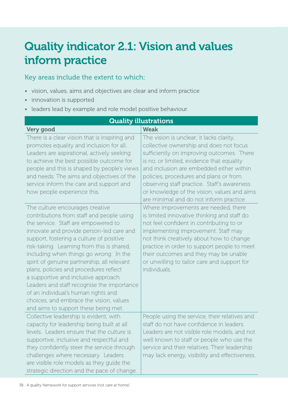# Quality indicator 2.1: Vision and values inform practice

- vision, values, aims and objectives are clear and inform practice
- innovation is supported
- leaders lead by example and role model positive behaviour.

| <b>Quality illustrations</b>                                                                                                                                                                                                                                                                                                                                                                                                                                                                                                                                                                                 |                                                                                                                                                                                                                                                                                                                                                                                                              |  |
|--------------------------------------------------------------------------------------------------------------------------------------------------------------------------------------------------------------------------------------------------------------------------------------------------------------------------------------------------------------------------------------------------------------------------------------------------------------------------------------------------------------------------------------------------------------------------------------------------------------|--------------------------------------------------------------------------------------------------------------------------------------------------------------------------------------------------------------------------------------------------------------------------------------------------------------------------------------------------------------------------------------------------------------|--|
| Very good                                                                                                                                                                                                                                                                                                                                                                                                                                                                                                                                                                                                    | <b>Weak</b>                                                                                                                                                                                                                                                                                                                                                                                                  |  |
| There is a clear vision that is inspiring and<br>promotes equality and inclusion for all.<br>Leaders are aspirational, actively seeking<br>to achieve the best possible outcome for<br>people and this is shaped by people's views<br>and needs. The aims and objectives of the<br>service inform the care and support and<br>how people experience this.                                                                                                                                                                                                                                                    | The vision is unclear; it lacks clarity,<br>collective ownership and does not focus<br>sufficiently on improving outcomes. There<br>is no, or limited, evidence that equality<br>and inclusion are embedded either within<br>policies, procedures and plans or from<br>observing staff practice. Staff's awareness<br>or knowledge of the vision, values and aims<br>are minimal and do not inform practice. |  |
| The culture encourages creative<br>contributions from staff and people using<br>the service. Staff are empowered to<br>innovate and provide person-led care and<br>support, fostering a culture of positive<br>risk-taking. Learning from this is shared,<br>including when things go wrong. In the<br>spirit of genuine partnership, all relevant<br>plans, policies and procedures reflect<br>a supportive and inclusive approach.<br>Leaders and staff recognise the importance<br>of an individual's human rights and<br>choices, and embrace the vision, values<br>and aims to support these being met. | Where improvements are needed, there<br>is limited innovative thinking and staff do<br>not feel confident in contributing to or<br>implementing improvement. Staff may<br>not think creatively about how to change<br>practice in order to support people to meet<br>their outcomes and they may be unable<br>or unwilling to tailor care and support for<br>individuals.                                    |  |
| Collective leadership is evident, with<br>capacity for leadership being built at all<br>levels. Leaders ensure that the culture is<br>supportive, inclusive and respectful and<br>they confidently steer the service through<br>challenges where necessary. Leaders<br>are visible role models as they guide the<br>strategic direction and the pace of change.                                                                                                                                                                                                                                              | People using the service, their relatives and<br>staff do not have confidence in leaders.<br>Leaders are not visible role models, and not<br>well known to staff or people who use the<br>service and their relatives. Their leadership<br>may lack energy, visibility and effectiveness.                                                                                                                    |  |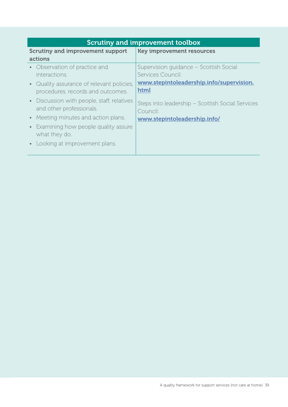| <b>Scrutiny and improvement toolbox</b>    |                                                  |
|--------------------------------------------|--------------------------------------------------|
| <b>Scrutiny and improvement support</b>    | <b>Key improvement resources</b>                 |
| actions                                    |                                                  |
| Observation of practice and<br>$\bullet$ . | Supervision quidance - Scottish Social           |
| interactions.                              | Services Council:                                |
| • Quality assurance of relevant policies,  | www.stepintoleadership.info/supervision.         |
| procedures, records and outcomes.          | html                                             |
| • Discussion with people, staff, relatives | Steps into leadership - Scottish Social Services |
| and other professionals.                   | Council:                                         |
| • Meeting minutes and action plans.        | www.stepintoleadership.info/                     |
| • Examining how people quality assure      |                                                  |
| what they do.                              |                                                  |
| • Looking at improvement plans.            |                                                  |
|                                            |                                                  |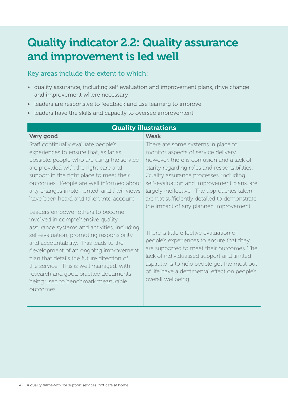# Quality indicator 2.2: Quality assurance and improvement is led well

#### Key areas include the extent to which:

• quality assurance, including self evaluation and improvement plans, drive change and improvement where necessary

Quality illustrations

- leaders are responsive to feedback and use learning to improve
- leaders have the skills and capacity to oversee improvement.

| <b>WUALLY ILLUSTATIONS</b>                                                                                                                                                                                                                                                                                                                                                                                                             |                                                                                                                                                                                                                                                                                                                                                |  |
|----------------------------------------------------------------------------------------------------------------------------------------------------------------------------------------------------------------------------------------------------------------------------------------------------------------------------------------------------------------------------------------------------------------------------------------|------------------------------------------------------------------------------------------------------------------------------------------------------------------------------------------------------------------------------------------------------------------------------------------------------------------------------------------------|--|
| Very good                                                                                                                                                                                                                                                                                                                                                                                                                              | <b>Weak</b>                                                                                                                                                                                                                                                                                                                                    |  |
| Staff continually evaluate people's                                                                                                                                                                                                                                                                                                                                                                                                    | There are some systems in place to                                                                                                                                                                                                                                                                                                             |  |
| experiences to ensure that, as far as                                                                                                                                                                                                                                                                                                                                                                                                  | monitor aspects of service delivery                                                                                                                                                                                                                                                                                                            |  |
| possible, people who are using the service                                                                                                                                                                                                                                                                                                                                                                                             | however, there is confusion and a lack of                                                                                                                                                                                                                                                                                                      |  |
| are provided with the right care and                                                                                                                                                                                                                                                                                                                                                                                                   | clarity regarding roles and responsibilities.                                                                                                                                                                                                                                                                                                  |  |
| support in the right place to meet their                                                                                                                                                                                                                                                                                                                                                                                               | Quality assurance processes, including                                                                                                                                                                                                                                                                                                         |  |
| outcomes. People are well informed about                                                                                                                                                                                                                                                                                                                                                                                               | self-evaluation and improvement plans, are                                                                                                                                                                                                                                                                                                     |  |
| any changes implemented, and their views                                                                                                                                                                                                                                                                                                                                                                                               | largely ineffective. The approaches taken                                                                                                                                                                                                                                                                                                      |  |
| have been heard and taken into account.                                                                                                                                                                                                                                                                                                                                                                                                | are not sufficiently detailed to demonstrate                                                                                                                                                                                                                                                                                                   |  |
| Leaders empower others to become<br>involved in comprehensive quality<br>assurance systems and activities, including<br>self-evaluation, promoting responsibility<br>and accountability. This leads to the<br>development of an ongoing improvement<br>plan that details the future direction of<br>the service. This is well managed, with<br>research and good practice documents<br>being used to benchmark measurable<br>outcomes. | the impact of any planned improvement.<br>There is little effective evaluation of<br>people's experiences to ensure that they<br>are supported to meet their outcomes. The<br>lack of individualised support and limited<br>aspirations to help people get the most out<br>of life have a detrimental effect on people's<br>overall wellbeing. |  |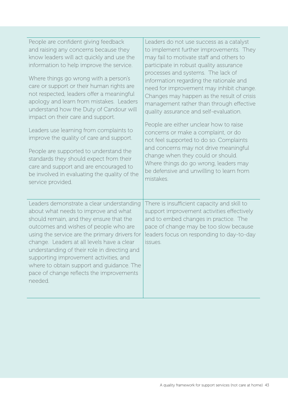| People are confident giving feedback<br>and raising any concerns because they<br>know leaders will act quickly and use the<br>information to help improve the service.<br>Where things go wrong with a person's<br>care or support or their human rights are<br>not respected, leaders offer a meaningful<br>apology and learn from mistakes. Leaders<br>understand how the Duty of Candour will<br>impact on their care and support.<br>Leaders use learning from complaints to<br>improve the quality of care and support.<br>People are supported to understand the<br>standards they should expect from their | Leaders do not use success as a catalyst<br>to implement further improvements. They<br>may fail to motivate staff and others to<br>participate in robust quality assurance<br>processes and systems. The lack of<br>information regarding the rationale and<br>need for improvement may inhibit change.<br>Changes may happen as the result of crisis<br>management rather than through effective<br>quality assurance and self-evaluation.<br>People are either unclear how to raise<br>concerns or make a complaint, or do<br>not feel supported to do so. Complaints<br>and concerns may not drive meaningful<br>change when they could or should. |
|-------------------------------------------------------------------------------------------------------------------------------------------------------------------------------------------------------------------------------------------------------------------------------------------------------------------------------------------------------------------------------------------------------------------------------------------------------------------------------------------------------------------------------------------------------------------------------------------------------------------|-------------------------------------------------------------------------------------------------------------------------------------------------------------------------------------------------------------------------------------------------------------------------------------------------------------------------------------------------------------------------------------------------------------------------------------------------------------------------------------------------------------------------------------------------------------------------------------------------------------------------------------------------------|
| care and support and are encouraged to<br>be involved in evaluating the quality of the<br>service provided.                                                                                                                                                                                                                                                                                                                                                                                                                                                                                                       | Where things do go wrong, leaders may<br>be defensive and unwilling to learn from<br>mistakes.                                                                                                                                                                                                                                                                                                                                                                                                                                                                                                                                                        |
| Leaders demonstrate a clear understanding<br>about what needs to improve and what<br>should remain, and they ensure that the<br>outcomes and wishes of people who are<br>using the service are the primary drivers for<br>change. Leaders at all levels have a clear<br>understanding of their role in directing and<br>supporting improvement activities, and<br>where to obtain support and guidance. The<br>pace of change reflects the improvements<br>needed.                                                                                                                                                | There is insufficient capacity and skill to<br>support improvement activities effectively<br>and to embed changes in practice. The<br>pace of change may be too slow because<br>leaders focus on responding to day-to-day<br>issues.                                                                                                                                                                                                                                                                                                                                                                                                                  |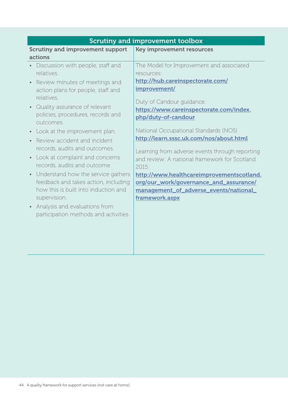| <b>Scrutiny and improvement toolbox</b>                                                                                                                                                                                                                                                                                                                                                                                                                                                                                                                                                                                   |                                                                                                                                                                                                                                                                                                                                                                                                                                                                                                                                                              |
|---------------------------------------------------------------------------------------------------------------------------------------------------------------------------------------------------------------------------------------------------------------------------------------------------------------------------------------------------------------------------------------------------------------------------------------------------------------------------------------------------------------------------------------------------------------------------------------------------------------------------|--------------------------------------------------------------------------------------------------------------------------------------------------------------------------------------------------------------------------------------------------------------------------------------------------------------------------------------------------------------------------------------------------------------------------------------------------------------------------------------------------------------------------------------------------------------|
| <b>Scrutiny and improvement support</b><br>actions                                                                                                                                                                                                                                                                                                                                                                                                                                                                                                                                                                        | <b>Key improvement resources</b>                                                                                                                                                                                                                                                                                                                                                                                                                                                                                                                             |
| Discussion with people, staff and<br>relatives.<br>Review minutes of meetings and<br>action plans for people, staff and<br>relatives.<br>Quality assurance of relevant<br>policies, procedures, records and<br>outcomes.<br>Look at the improvement plan.<br>Review accident and incident<br>records, audits and outcomes.<br>Look at complaint and concerns<br>records, audits and outcome.<br>Understand how the service gathers<br>feedback and takes action, including<br>how this is built into induction and<br>supervision.<br>Analysis and evaluations from<br>$\bullet$<br>participation methods and activities. | The Model for Improvement and associated<br>resources:<br>http://hub.careinspectorate.com/<br>improvement/<br>Duty of Candour guidance:<br>https://www.careinspectorate.com/index.<br>php/duty-of-candour<br>National Occupational Standards (NOS)<br>http://learn.sssc.uk.com/nos/about.html<br>Learning from adverse events through reporting<br>and review: A national framework for Scotland<br>2015:<br>http://www.healthcareimprovementscotland.<br>org/our_work/governance_and_assurance/<br>management_of_adverse_events/national_<br>framework.aspx |
|                                                                                                                                                                                                                                                                                                                                                                                                                                                                                                                                                                                                                           |                                                                                                                                                                                                                                                                                                                                                                                                                                                                                                                                                              |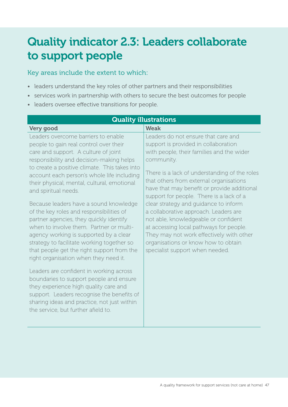# Quality indicator 2.3: Leaders collaborate to support people

- leaders understand the key roles of other partners and their responsibilities
- services work in partnership with others to secure the best outcomes for people
- leaders oversee effective transitions for people.

| <b>Quality illustrations</b>                                                                                                                                                                                                                                                                                                                                                                                                                                                                                                                                                                                                                                                                                                                                                                                                                                                                                                                                          |                                                                                                                                                                                                                                                                                                                                                                                                                                                                                                                                                                                                                          |  |
|-----------------------------------------------------------------------------------------------------------------------------------------------------------------------------------------------------------------------------------------------------------------------------------------------------------------------------------------------------------------------------------------------------------------------------------------------------------------------------------------------------------------------------------------------------------------------------------------------------------------------------------------------------------------------------------------------------------------------------------------------------------------------------------------------------------------------------------------------------------------------------------------------------------------------------------------------------------------------|--------------------------------------------------------------------------------------------------------------------------------------------------------------------------------------------------------------------------------------------------------------------------------------------------------------------------------------------------------------------------------------------------------------------------------------------------------------------------------------------------------------------------------------------------------------------------------------------------------------------------|--|
| Very good                                                                                                                                                                                                                                                                                                                                                                                                                                                                                                                                                                                                                                                                                                                                                                                                                                                                                                                                                             | <b>Weak</b>                                                                                                                                                                                                                                                                                                                                                                                                                                                                                                                                                                                                              |  |
| Leaders overcome barriers to enable<br>people to gain real control over their<br>care and support. A culture of joint<br>responsibility and decision-making helps<br>to create a positive climate. This takes into<br>account each person's whole life including<br>their physical, mental, cultural, emotional<br>and spiritual needs.<br>Because leaders have a sound knowledge<br>of the key roles and responsibilities of<br>partner agencies, they quickly identify<br>when to involve them. Partner or multi-<br>agency working is supported by a clear<br>strategy to facilitate working together so<br>that people get the right support from the<br>right organisation when they need it.<br>Leaders are confident in working across<br>boundaries to support people and ensure<br>they experience high quality care and<br>support. Leaders recognise the benefits of<br>sharing ideas and practice, not just within<br>the service, but further afield to. | Leaders do not ensure that care and<br>support is provided in collaboration<br>with people, their families and the wider<br>community.<br>There is a lack of understanding of the roles<br>that others from external organisations<br>have that may benefit or provide additional<br>support for people. There is a lack of a<br>clear strategy and guidance to inform<br>a collaborative approach. Leaders are<br>not able, knowledgeable or confident<br>at accessing local pathways for people.<br>They may not work effectively with other<br>organisations or know how to obtain<br>specialist support when needed. |  |
|                                                                                                                                                                                                                                                                                                                                                                                                                                                                                                                                                                                                                                                                                                                                                                                                                                                                                                                                                                       |                                                                                                                                                                                                                                                                                                                                                                                                                                                                                                                                                                                                                          |  |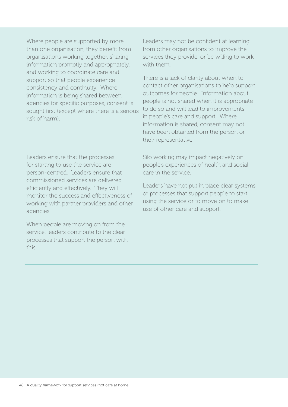| Where people are supported by more<br>than one organisation, they benefit from<br>organisations working together, sharing<br>information promptly and appropriately,<br>and working to coordinate care and<br>support so that people experience<br>consistency and continuity. Where<br>information is being shared between<br>agencies for specific purposes, consent is<br>sought first (except where there is a serious<br>risk of harm). | Leaders may not be confident at learning<br>from other organisations to improve the<br>services they provide, or be willing to work<br>with them.<br>There is a lack of clarity about when to<br>contact other organisations to help support<br>outcomes for people. Information about<br>people is not shared when it is appropriate<br>to do so and will lead to improvements<br>in people's care and support. Where<br>information is shared, consent may not<br>have been obtained from the person or<br>their representative. |
|----------------------------------------------------------------------------------------------------------------------------------------------------------------------------------------------------------------------------------------------------------------------------------------------------------------------------------------------------------------------------------------------------------------------------------------------|------------------------------------------------------------------------------------------------------------------------------------------------------------------------------------------------------------------------------------------------------------------------------------------------------------------------------------------------------------------------------------------------------------------------------------------------------------------------------------------------------------------------------------|
| Leaders ensure that the processes<br>for starting to use the service are<br>person-centred. Leaders ensure that<br>commissioned services are delivered<br>efficiently and effectively. They will<br>monitor the success and effectiveness of<br>working with partner providers and other<br>agencies.<br>When people are moving on from the<br>service, leaders contribute to the clear<br>processes that support the person with<br>this.   | Silo working may impact negatively on<br>people's experiences of health and social<br>care in the service.<br>Leaders have not put in place clear systems<br>or processes that support people to start<br>using the service or to move on to make<br>use of other care and support.                                                                                                                                                                                                                                                |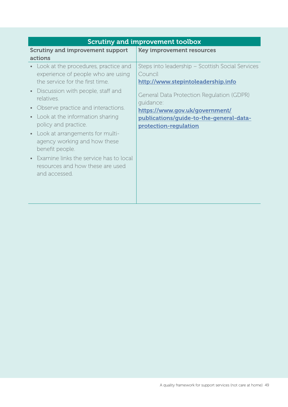| <b>Scrutiny and improvement toolbox</b>                                                                                                                                             |                                                                                                                                                             |
|-------------------------------------------------------------------------------------------------------------------------------------------------------------------------------------|-------------------------------------------------------------------------------------------------------------------------------------------------------------|
| <b>Scrutiny and improvement support</b>                                                                                                                                             | <b>Key improvement resources</b>                                                                                                                            |
| actions                                                                                                                                                                             |                                                                                                                                                             |
| Look at the procedures, practice and<br>experience of people who are using<br>the service for the first time.<br>Discussion with people, staff and<br>relatives.                    | Steps into leadership - Scottish Social Services<br>Council<br>http://www.stepintoleadership.info<br>General Data Protection Regulation (GDPR)<br>quidance: |
| Observe practice and interactions.<br>Look at the information sharing<br>policy and practice.<br>Look at arrangements for multi-<br>agency working and how these<br>benefit people. | https://www.gov.uk/government/<br>publications/guide-to-the-general-data-<br>protection-regulation                                                          |
| Examine links the service has to local<br>resources and how these are used<br>and accessed.                                                                                         |                                                                                                                                                             |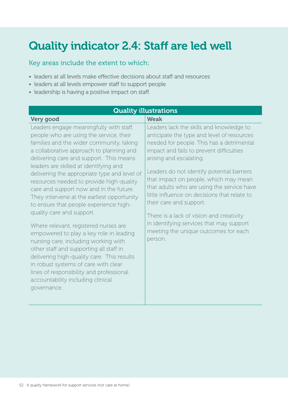# Quality indicator 2.4: Staff are led well

- leaders at all levels make effective decisions about staff and resources
- leaders at all levels empower staff to support people
- leadership is having a positive impact on staff.

| <b>Quality illustrations</b>                                                                                                                                                                                                                                                                                                                                                                                                                                                                                                                                                                                                                                                                                                                                                                                                                                                             |                                                                                                                                                                                                                                                                                                                                                                                                                                                                                                                                                                       |  |
|------------------------------------------------------------------------------------------------------------------------------------------------------------------------------------------------------------------------------------------------------------------------------------------------------------------------------------------------------------------------------------------------------------------------------------------------------------------------------------------------------------------------------------------------------------------------------------------------------------------------------------------------------------------------------------------------------------------------------------------------------------------------------------------------------------------------------------------------------------------------------------------|-----------------------------------------------------------------------------------------------------------------------------------------------------------------------------------------------------------------------------------------------------------------------------------------------------------------------------------------------------------------------------------------------------------------------------------------------------------------------------------------------------------------------------------------------------------------------|--|
| Very good                                                                                                                                                                                                                                                                                                                                                                                                                                                                                                                                                                                                                                                                                                                                                                                                                                                                                | <b>Weak</b>                                                                                                                                                                                                                                                                                                                                                                                                                                                                                                                                                           |  |
| Leaders engage meaningfully with staff,<br>people who are using the service, their<br>families and the wider community, taking<br>a collaborative approach to planning and<br>delivering care and support. This means<br>leaders are skilled at identifying and<br>delivering the appropriate type and level of<br>resources needed to provide high-quality<br>care and support now and in the future.<br>They intervene at the earliest opportunity<br>to ensure that people experience high-<br>quality care and support.<br>Where relevant, registered nurses are<br>empowered to play a key role in leading<br>nursing care, including working with<br>other staff and supporting all staff in<br>delivering high-quality care. This results<br>in robust systems of care with clear<br>lines of responsibility and professional<br>accountability including clinical<br>governance. | Leaders lack the skills and knowledge to<br>anticipate the type and level of resources<br>needed for people. This has a detrimental<br>impact and fails to prevent difficulties<br>arising and escalating.<br>Leaders do not identify potential barriers<br>that impact on people, which may mean<br>that adults who are using the service have<br>little influence on decisions that relate to<br>their care and support.<br>There is a lack of vision and creativity<br>in identifying services that may support<br>meeting the unique outcomes for each<br>person. |  |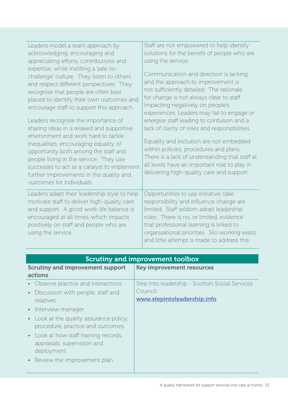| Leaders model a team approach by<br>acknowledging, encouraging and<br>appreciating efforts, contributions and<br>expertise, while instilling a 'safe-to-<br>challenge' culture. They listen to others<br>and respect different perspectives. They<br>recognise that people are often best<br>placed to identify their own outcomes and<br>encourage staff to support this approach.<br>Leaders recognise the importance of<br>sharing ideas in a relaxed and supportive<br>environment and work hard to tackle<br>inequalities, encouraging equality of<br>opportunity both among the staff and<br>people living in the service. They use<br>successes to act as a catalyst to implement<br>further improvements in the quality and<br>outcomes for individuals. | Staff are not empowered to help identify<br>solutions for the benefit of people who are<br>using the service.<br>Communication and direction is lacking<br>and the approach to improvement is<br>not sufficiently detailed. The rationale<br>for change is not always clear to staff,<br>impacting negatively on people's<br>experiences. Leaders may fail to engage or<br>energise staff leading to confusion and a<br>lack of clarity of roles and responsibilities.<br>Equality and inclusion are not embedded<br>within policies, procedures and plans.<br>There is a lack of understanding that staff at<br>all levels have an important role to play in<br>delivering high-quality care and support. |
|------------------------------------------------------------------------------------------------------------------------------------------------------------------------------------------------------------------------------------------------------------------------------------------------------------------------------------------------------------------------------------------------------------------------------------------------------------------------------------------------------------------------------------------------------------------------------------------------------------------------------------------------------------------------------------------------------------------------------------------------------------------|------------------------------------------------------------------------------------------------------------------------------------------------------------------------------------------------------------------------------------------------------------------------------------------------------------------------------------------------------------------------------------------------------------------------------------------------------------------------------------------------------------------------------------------------------------------------------------------------------------------------------------------------------------------------------------------------------------|
| Leaders adapt their leadership style to help<br>motivate staff to deliver high-quality care<br>and support. A good work-life balance is<br>encouraged at all times, which impacts<br>positively on staff and people who are<br>using the service.                                                                                                                                                                                                                                                                                                                                                                                                                                                                                                                | Opportunities to use initiative, take<br>responsibility and influence change are<br>limited. Staff seldom adopt leadership<br>roles. There is no, or limited, evidence<br>that professional learning is linked to<br>organisational priorities. Silo working exists<br>and little attempt is made to address this.                                                                                                                                                                                                                                                                                                                                                                                         |

| <b>Scrutiny and improvement toolbox</b>                                           |                                                 |
|-----------------------------------------------------------------------------------|-------------------------------------------------|
| <b>Scrutiny and improvement support</b>                                           | <b>Key improvement resources</b>                |
| actions                                                                           |                                                 |
| Observe practice and interactions.                                                | Step into leadership - Scottish Social Services |
| Discussion with people, staff and                                                 | Council:                                        |
| relatives.                                                                        | www.stepintoleadership.info                     |
| Interview manager.                                                                |                                                 |
| • Look at the quality assurance policy,                                           |                                                 |
| procedure, practice and outcomes.                                                 |                                                 |
| Look at how staff training records,<br>appraisals, supervision and<br>deployment. |                                                 |
| Review the improvement plan.                                                      |                                                 |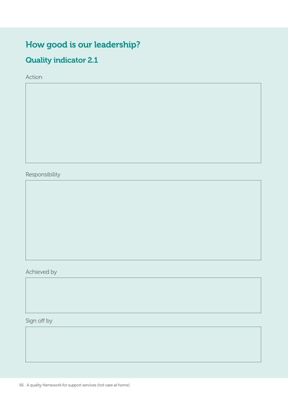## How good is our leadership?

### Quality indicator 2.1

Action

Responsibility

Achieved by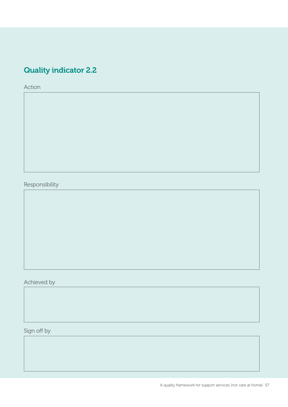### Quality indicator 2.2

Action

Responsibility

Achieved by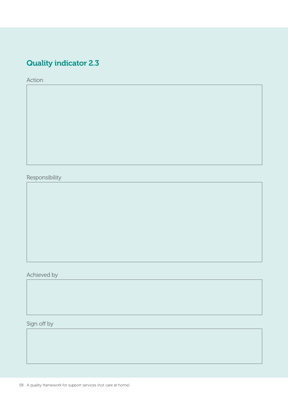## Quality indicator 2.3

Action

Responsibility

Achieved by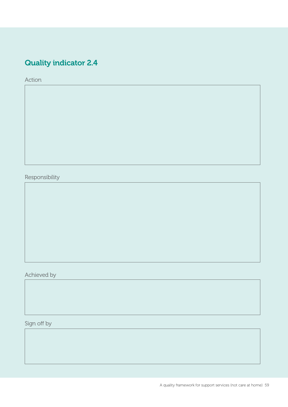## Quality indicator 2.4

Action

Responsibility

Achieved by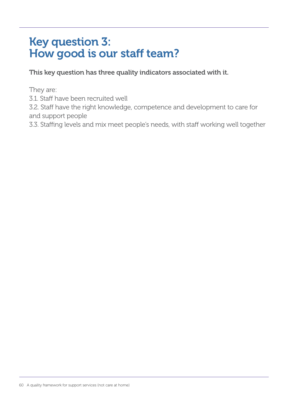# Key question 3: How good is our staff team?

This key question has three quality indicators associated with it.

They are:

3.1. Staff have been recruited well

3.2. Staff have the right knowledge, competence and development to care for and support people

3.3. Staffing levels and mix meet people's needs, with staff working well together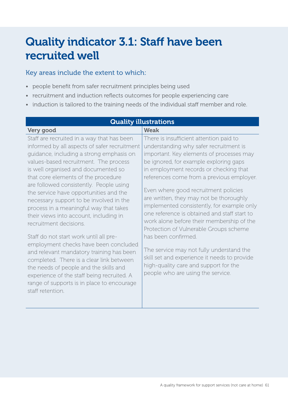# Quality indicator 3.1: Staff have been recruited well

- people benefit from safer recruitment principles being used
- recruitment and induction reflects outcomes for people experiencing care
- induction is tailored to the training needs of the individual staff member and role.

| <b>Quality illustrations</b>                                                                                                                                                                                                                                                                                                                                                                                                                                                                                                                                                                                                                                                                                                                                                                                                                     |                                                                                                                                                                                                                                                                                                                                                                                                                                                                                                                                                                                                                                                                                                                                         |  |
|--------------------------------------------------------------------------------------------------------------------------------------------------------------------------------------------------------------------------------------------------------------------------------------------------------------------------------------------------------------------------------------------------------------------------------------------------------------------------------------------------------------------------------------------------------------------------------------------------------------------------------------------------------------------------------------------------------------------------------------------------------------------------------------------------------------------------------------------------|-----------------------------------------------------------------------------------------------------------------------------------------------------------------------------------------------------------------------------------------------------------------------------------------------------------------------------------------------------------------------------------------------------------------------------------------------------------------------------------------------------------------------------------------------------------------------------------------------------------------------------------------------------------------------------------------------------------------------------------------|--|
| Very good                                                                                                                                                                                                                                                                                                                                                                                                                                                                                                                                                                                                                                                                                                                                                                                                                                        | <b>Weak</b>                                                                                                                                                                                                                                                                                                                                                                                                                                                                                                                                                                                                                                                                                                                             |  |
| Staff are recruited in a way that has been<br>informed by all aspects of safer recruitment<br>guidance, including a strong emphasis on<br>values-based recruitment. The process<br>is well organised and documented so<br>that core elements of the procedure<br>are followed consistently. People using<br>the service have opportunities and the<br>necessary support to be involved in the<br>process in a meaningful way that takes<br>their views into account, including in<br>recruitment decisions.<br>Staff do not start work until all pre-<br>employment checks have been concluded<br>and relevant mandatory training has been<br>completed. There is a clear link between<br>the needs of people and the skills and<br>experience of the staff being recruited. A<br>range of supports is in place to encourage<br>staff retention. | There is insufficient attention paid to<br>understanding why safer recruitment is<br>important. Key elements of processes may<br>be ignored, for example exploring gaps<br>in employment records or checking that<br>references come from a previous employer.<br>Even where good recruitment policies<br>are written, they may not be thoroughly<br>implemented consistently, for example only<br>one reference is obtained and staff start to<br>work alone before their membership of the<br>Protection of Vulnerable Groups scheme<br>has been confirmed.<br>The service may not fully understand the<br>skill set and experience it needs to provide<br>high-quality care and support for the<br>people who are using the service. |  |
|                                                                                                                                                                                                                                                                                                                                                                                                                                                                                                                                                                                                                                                                                                                                                                                                                                                  |                                                                                                                                                                                                                                                                                                                                                                                                                                                                                                                                                                                                                                                                                                                                         |  |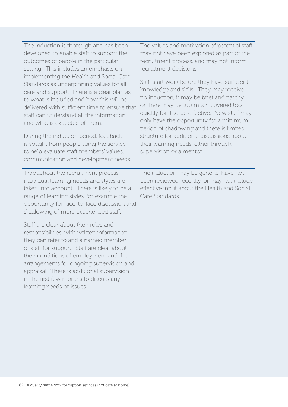| The induction is thorough and has been<br>developed to enable staff to support the<br>outcomes of people in the particular<br>setting. This includes an emphasis on<br>implementing the Health and Social Care<br>Standards as underpinning values for all<br>care and support. There is a clear plan as<br>to what is included and how this will be<br>delivered with sufficient time to ensure that<br>staff can understand all the information<br>and what is expected of them.<br>During the induction period, feedback<br>is sought from people using the service<br>to help evaluate staff members' values,<br>communication and development needs. | The values and motivation of potential staff<br>may not have been explored as part of the<br>recruitment process, and may not inform<br>recruitment decisions.<br>Staff start work before they have sufficient<br>knowledge and skills. They may receive<br>no induction, it may be brief and patchy<br>or there may be too much covered too<br>quickly for it to be effective. New staff may<br>only have the opportunity for a minimum<br>period of shadowing and there is limited<br>structure for additional discussions about<br>their learning needs, either through<br>supervision or a mentor. |
|-----------------------------------------------------------------------------------------------------------------------------------------------------------------------------------------------------------------------------------------------------------------------------------------------------------------------------------------------------------------------------------------------------------------------------------------------------------------------------------------------------------------------------------------------------------------------------------------------------------------------------------------------------------|--------------------------------------------------------------------------------------------------------------------------------------------------------------------------------------------------------------------------------------------------------------------------------------------------------------------------------------------------------------------------------------------------------------------------------------------------------------------------------------------------------------------------------------------------------------------------------------------------------|
| Throughout the recruitment process,<br>individual learning needs and styles are<br>taken into account. There is likely to be a<br>range of learning styles, for example the<br>opportunity for face-to-face discussion and<br>shadowing of more experienced staff.                                                                                                                                                                                                                                                                                                                                                                                        | The induction may be generic, have not<br>been reviewed recently, or may not include<br>effective input about the Health and Social<br>Care Standards.                                                                                                                                                                                                                                                                                                                                                                                                                                                 |
| Staff are clear about their roles and<br>responsibilities, with written information<br>they can refer to and a named member<br>of staff for support. Staff are clear about<br>their conditions of employment and the<br>arrangements for ongoing supervision and<br>appraisal. There is additional supervision<br>in the first few months to discuss any<br>learning needs or issues.                                                                                                                                                                                                                                                                     |                                                                                                                                                                                                                                                                                                                                                                                                                                                                                                                                                                                                        |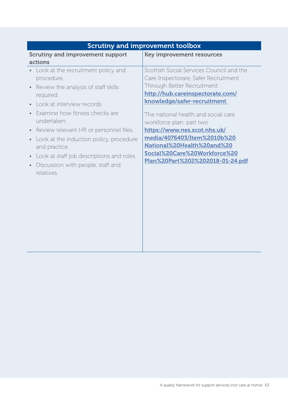| <b>Scrutiny and improvement toolbox</b>                                                                                                                                                                                                                                                                                                                                                                                     |                                                                                                                                                                                                                                                                                                                                                                                                                        |
|-----------------------------------------------------------------------------------------------------------------------------------------------------------------------------------------------------------------------------------------------------------------------------------------------------------------------------------------------------------------------------------------------------------------------------|------------------------------------------------------------------------------------------------------------------------------------------------------------------------------------------------------------------------------------------------------------------------------------------------------------------------------------------------------------------------------------------------------------------------|
| <b>Scrutiny and improvement support</b><br>actions                                                                                                                                                                                                                                                                                                                                                                          | <b>Key improvement resources</b>                                                                                                                                                                                                                                                                                                                                                                                       |
| • Look at the recruitment policy and<br>procedure.<br>Review the analysis of staff skills<br>$\bullet$<br>required.<br>• Look at interview records.<br>Examine how fitness checks are<br>undertaken.<br>Review relevant HR or personnel files.<br>$\bullet$<br>• Look at the induction policy, procedure<br>and practice.<br>• Look at staff job descriptions and roles.<br>Discussion with people, staff and<br>relatives. | Scottish Social Services Council and the<br>Care Inspectorate, Safer Recruitment<br>Through Better Recruitment:<br>http://hub.careinspectorate.com/<br>knowledge/safer-recruitment<br>The national health and social care<br>workforce plan: part two<br>https://www.nes.scot.nhs.uk/<br>media/4076403/Item%2010b%20<br>National%20Health%20and%20<br>Social%20Care%20Workforce%20<br>Plan%20Part%202%202018-01-24.pdf |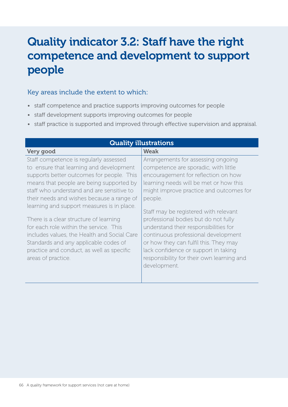# Quality indicator 3.2: Staff have the right competence and development to support people

- staff competence and practice supports improving outcomes for people
- staff development supports improving outcomes for people
- staff practice is supported and improved through effective supervision and appraisal.

| <b>Quality illustrations</b>                |                                           |
|---------------------------------------------|-------------------------------------------|
| Very good                                   | <b>Weak</b>                               |
| Staff competence is regularly assessed      | Arrangements for assessing ongoing        |
| to ensure that learning and development     | competence are sporadic, with little      |
| supports better outcomes for people. This   | encouragement for reflection on how       |
| means that people are being supported by    | learning needs will be met or how this    |
| staff who understand and are sensitive to   | might improve practice and outcomes for   |
| their needs and wishes because a range of   | people.                                   |
| learning and support measures is in place.  | Staff may be registered with relevant     |
| There is a clear structure of learning      | professional bodies but do not fully      |
| for each role within the service. This      | understand their responsibilities for     |
| includes values, the Health and Social Care | continuous professional development       |
| Standards and any applicable codes of       | or how they can fulfil this. They may     |
| practice and conduct, as well as specific   | lack confidence or support in taking      |
| areas of practice.                          | responsibility for their own learning and |
|                                             | development.                              |
|                                             |                                           |
|                                             |                                           |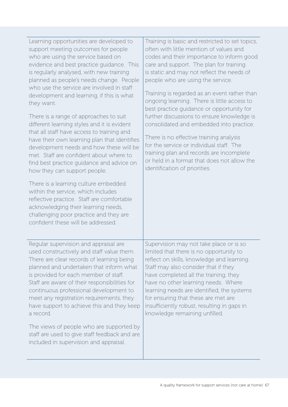| Learning opportunities are developed to<br>support meeting outcomes for people<br>who are using the service based on<br>evidence and best practice guidance. This<br>is regularly analysed, with new training<br>planned as people's needs change. People<br>who use the service are involved in staff<br>development and learning, if this is what<br>they want.<br>There is a range of approaches to suit<br>different learning styles and it is evident<br>that all staff have access to training and<br>have their own learning plan that identifies<br>development needs and how these will be<br>met. Staff are confident about where to<br>find best practice guidance and advice on<br>how they can support people. | Training is basic and restricted to set topics,<br>often with little mention of values and<br>codes and their importance to inform good<br>care and support. The plan for training<br>is static and may not reflect the needs of<br>people who are using the service.<br>Training is regarded as an event rather than<br>ongoing learning. There is little access to<br>best practice guidance or opportunity for<br>further discussions to ensure knowledge is<br>consolidated and embedded into practice.<br>There is no effective training analysis<br>for the service or individual staff. The<br>training plan and records are incomplete<br>or held in a format that does not allow the<br>identification of priorities. |
|-----------------------------------------------------------------------------------------------------------------------------------------------------------------------------------------------------------------------------------------------------------------------------------------------------------------------------------------------------------------------------------------------------------------------------------------------------------------------------------------------------------------------------------------------------------------------------------------------------------------------------------------------------------------------------------------------------------------------------|--------------------------------------------------------------------------------------------------------------------------------------------------------------------------------------------------------------------------------------------------------------------------------------------------------------------------------------------------------------------------------------------------------------------------------------------------------------------------------------------------------------------------------------------------------------------------------------------------------------------------------------------------------------------------------------------------------------------------------|
| There is a learning culture embedded<br>within the service, which includes<br>reflective practice. Staff are comfortable<br>acknowledging their learning needs,<br>challenging poor practice and they are<br>confident these will be addressed.                                                                                                                                                                                                                                                                                                                                                                                                                                                                             |                                                                                                                                                                                                                                                                                                                                                                                                                                                                                                                                                                                                                                                                                                                                |
| Regular supervision and appraisal are<br>used constructively and staff value them.<br>There are clear records of learning being<br>planned and undertaken that inform what<br>is provided for each member of staff.<br>Staff are aware of their responsibilities for<br>continuous professional development to<br>meet any registration requirements, they<br>have support to achieve this and they keep<br>a record.                                                                                                                                                                                                                                                                                                       | Supervision may not take place or is so<br>limited that there is no opportunity to<br>reflect on skills, knowledge and learning.<br>Staff may also consider that if they<br>have completed all the training, they<br>have no other learning needs. Where<br>learning needs are identified, the systems<br>for ensuring that these are met are<br>insufficiently robust, resulting in gaps in<br>knowledge remaining unfilled.                                                                                                                                                                                                                                                                                                  |
| The views of people who are supported by<br>staff are used to give staff feedback and are<br>included in supervision and appraisal.                                                                                                                                                                                                                                                                                                                                                                                                                                                                                                                                                                                         |                                                                                                                                                                                                                                                                                                                                                                                                                                                                                                                                                                                                                                                                                                                                |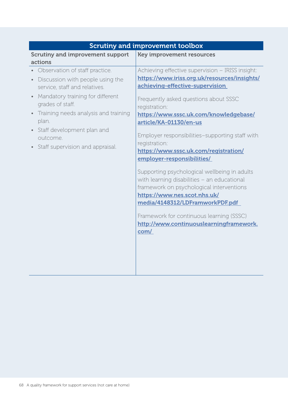| <b>Scrutiny and improvement toolbox</b>       |                                                                  |
|-----------------------------------------------|------------------------------------------------------------------|
| <b>Scrutiny and improvement support</b>       | <b>Key improvement resources</b>                                 |
| actions                                       |                                                                  |
| Observation of staff practice.                | Achieving effective supervision - IRISS insight:                 |
| Discussion with people using the<br>$\bullet$ | https://www.iriss.org.uk/resources/insights/                     |
| service, staff and relatives.                 | achieving-effective-supervision                                  |
| Mandatory training for different              | Frequently asked questions about SSSC                            |
| grades of staff.                              | registration:                                                    |
| Training needs analysis and training          | https://www.sssc.uk.com/knowledgebase/                           |
| plan.                                         | article/KA-01130/en-us                                           |
| Staff development plan and                    |                                                                  |
| outcome.                                      | Employer responsibilities-supporting staff with<br>registration: |
| Staff supervision and appraisal.              | https://www.sssc.uk.com/registration/                            |
|                                               | employer-responsibilities/                                       |
|                                               |                                                                  |
|                                               | Supporting psychological wellbeing in adults                     |
|                                               | with learning disabilities - an educational                      |
|                                               | framework on psychological interventions                         |
|                                               | https://www.nes.scot.nhs.uk/                                     |
|                                               | media/4148312/LDFramworkPDF.pdf                                  |
|                                               | Framework for continuous learning (SSSC)                         |
|                                               | http://www.continuouslearningframework.                          |
|                                               | com/                                                             |
|                                               |                                                                  |
|                                               |                                                                  |
|                                               |                                                                  |
|                                               |                                                                  |
|                                               |                                                                  |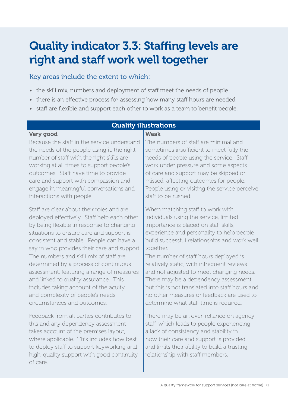# Quality indicator 3.3: Staffing levels are right and staff work well together

- the skill mix, numbers and deployment of staff meet the needs of people
- there is an effective process for assessing how many staff hours are needed
- staff are flexible and support each other to work as a team to benefit people.

| <b>Quality illustrations</b>                                                                                                                                                                                                                                              |                                                                                                                                                                                                                                                               |
|---------------------------------------------------------------------------------------------------------------------------------------------------------------------------------------------------------------------------------------------------------------------------|---------------------------------------------------------------------------------------------------------------------------------------------------------------------------------------------------------------------------------------------------------------|
| Very good                                                                                                                                                                                                                                                                 | <b>Weak</b>                                                                                                                                                                                                                                                   |
| Because the staff in the service understand                                                                                                                                                                                                                               | The numbers of staff are minimal and                                                                                                                                                                                                                          |
| the needs of the people using it, the right                                                                                                                                                                                                                               | sometimes insufficient to meet fully the                                                                                                                                                                                                                      |
| number of staff with the right skills are                                                                                                                                                                                                                                 | needs of people using the service. Staff                                                                                                                                                                                                                      |
| working at all times to support people's                                                                                                                                                                                                                                  | work under pressure and some aspects                                                                                                                                                                                                                          |
| outcomes. Staff have time to provide                                                                                                                                                                                                                                      | of care and support may be skipped or                                                                                                                                                                                                                         |
| care and support with compassion and                                                                                                                                                                                                                                      | missed, affecting outcomes for people.                                                                                                                                                                                                                        |
| engage in meaningful conversations and                                                                                                                                                                                                                                    | People using or visiting the service perceive                                                                                                                                                                                                                 |
| interactions with people.                                                                                                                                                                                                                                                 | staff to be rushed.                                                                                                                                                                                                                                           |
| Staff are clear about their roles and are                                                                                                                                                                                                                                 | When matching staff to work with                                                                                                                                                                                                                              |
| deployed effectively. Staff help each other                                                                                                                                                                                                                               | individuals using the service, limited                                                                                                                                                                                                                        |
| by being flexible in response to changing                                                                                                                                                                                                                                 | importance is placed on staff skills,                                                                                                                                                                                                                         |
| situations to ensure care and support is                                                                                                                                                                                                                                  | experience and personality to help people                                                                                                                                                                                                                     |
| consistent and stable. People can have a                                                                                                                                                                                                                                  | build successful relationships and work well                                                                                                                                                                                                                  |
| say in who provides their care and support.                                                                                                                                                                                                                               | together.                                                                                                                                                                                                                                                     |
| The numbers and skill mix of staff are                                                                                                                                                                                                                                    | The number of staff hours deployed is                                                                                                                                                                                                                         |
| determined by a process of continuous                                                                                                                                                                                                                                     | relatively static, with infrequent reviews                                                                                                                                                                                                                    |
| assessment, featuring a range of measures                                                                                                                                                                                                                                 | and not adjusted to meet changing needs.                                                                                                                                                                                                                      |
| and linked to quality assurance. This                                                                                                                                                                                                                                     | There may be a dependency assessment                                                                                                                                                                                                                          |
| includes taking account of the acuity                                                                                                                                                                                                                                     | but this is not translated into staff hours and                                                                                                                                                                                                               |
| and complexity of people's needs,                                                                                                                                                                                                                                         | no other measures or feedback are used to                                                                                                                                                                                                                     |
| circumstances and outcomes.                                                                                                                                                                                                                                               | determine what staff time is required.                                                                                                                                                                                                                        |
| Feedback from all parties contributes to<br>this and any dependency assessment<br>takes account of the premises layout,<br>where applicable. This includes how best<br>to deploy staff to support keyworking and<br>high-quality support with good continuity<br>of care. | There may be an over-reliance on agency<br>staff, which leads to people experiencing<br>a lack of consistency and stability in<br>how their care and support is provided,<br>and limits their ability to build a trusting<br>relationship with staff members. |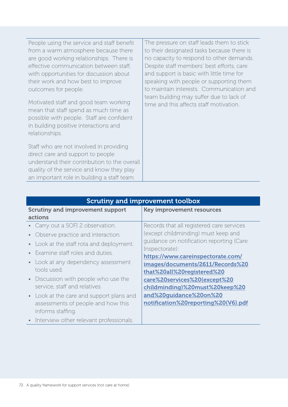| People using the service and staff benefit<br>from a warm atmosphere because there<br>are good working relationships. There is<br>effective communication between staff,<br>with opportunities for discussion about<br>their work and how best to improve<br>outcomes for people.<br>Motivated staff and good team working<br>mean that staff spend as much time as<br>possible with people. Staff are confident<br>in building positive interactions and<br>relationships. | The pressure on staff leads them to stick<br>to their designated tasks because there is<br>no capacity to respond to other demands.<br>Despite staff members' best efforts, care<br>and support is basic with little time for<br>speaking with people or supporting them<br>to maintain interests. Communication and<br>team building may suffer due to lack of<br>time and this affects staff motivation. |
|-----------------------------------------------------------------------------------------------------------------------------------------------------------------------------------------------------------------------------------------------------------------------------------------------------------------------------------------------------------------------------------------------------------------------------------------------------------------------------|------------------------------------------------------------------------------------------------------------------------------------------------------------------------------------------------------------------------------------------------------------------------------------------------------------------------------------------------------------------------------------------------------------|
| Staff who are not involved in providing<br>direct care and support to people<br>understand their contribution to the overall<br>quality of the service and know they play<br>an important role in building a staff team.                                                                                                                                                                                                                                                    |                                                                                                                                                                                                                                                                                                                                                                                                            |

| <b>Scrutiny and improvement toolbox</b>                                                             |                                                                |
|-----------------------------------------------------------------------------------------------------|----------------------------------------------------------------|
| <b>Scrutiny and improvement support</b>                                                             | <b>Key improvement resources</b>                               |
| actions                                                                                             |                                                                |
| Carry out a SOFI 2 observation.                                                                     | Records that all registered care services                      |
| Observe practice and interaction.                                                                   | (except childminding) must keep and                            |
| Look at the staff rota and deployment.                                                              | guidance on notification reporting (Care                       |
| Examine staff roles and duties.                                                                     | Inspectorate):<br>https://www.careinspectorate.com/            |
| • Look at any dependency assessment<br>tools used.                                                  | images/documents/2611/Records%20<br>that%20all%20registered%20 |
| Discussion with people who use the<br>service, staff and relatives.                                 | care%20services%20(except%20<br>childminding)%20must%20keep%20 |
| • Look at the care and support plans and<br>assessments of people and how this<br>informs staffing. | and%20guidance%20on%20<br>notification%20reporting%20(V6).pdf  |
| • Interview other relevant professionals.                                                           |                                                                |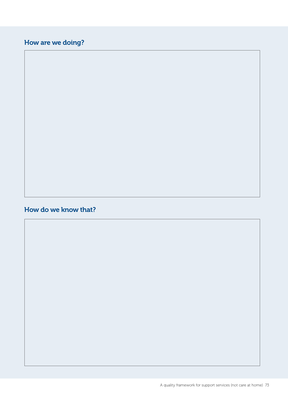## How are we doing?

#### How do we know that?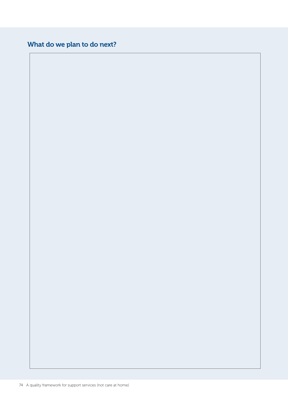### What do we plan to do next?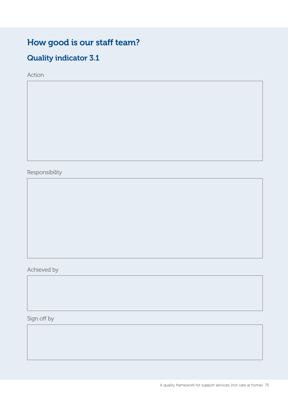## How good is our staff team?

## Quality indicator 3.1

Action

Responsibility

Achieved by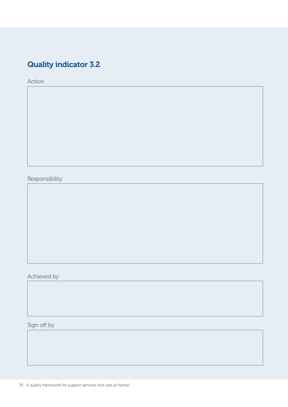## Quality indicator 3.2

Action

Responsibility

Achieved by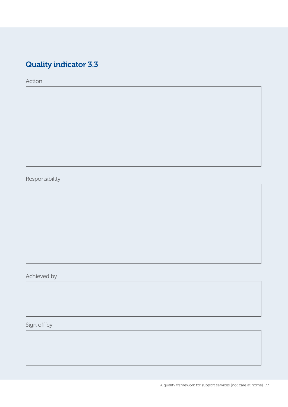## Quality indicator 3.3

Action

Responsibility

Achieved by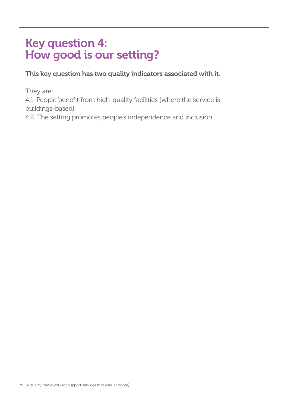# Key question 4: How good is our setting?

This key question has two quality indicators associated with it.

They are:

4.1. People benefit from high-quality facilities [where the service is buildings-based]

4.2. The setting promotes people's independence and inclusion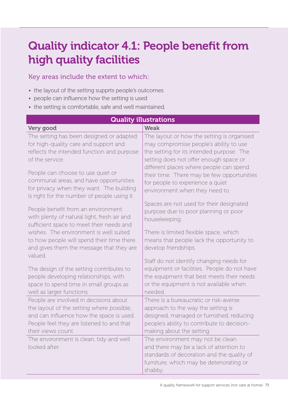# Quality indicator 4.1: People benefit from high quality facilities

#### Key areas include the extent to which:

- the layout of the setting supprts people's outcomes
- people can influence how the setting is used
- the setting is comfortable, safe and well maintained.

| <b>Quality illustrations</b>                             |                                                                                                                                                                                  |
|----------------------------------------------------------|----------------------------------------------------------------------------------------------------------------------------------------------------------------------------------|
| Very good                                                | <b>Weak</b>                                                                                                                                                                      |
| The setting has been designed or adapted                 | The layout or how the setting is organised                                                                                                                                       |
| for high-quality care and support and                    | may compromise people's ability to use                                                                                                                                           |
| reflects the intended function and purpose               | the setting for its intended purpose. The                                                                                                                                        |
| of the service.                                          | setting does not offer enough space or                                                                                                                                           |
| People can choose to use quiet or                        | different places where people can spend                                                                                                                                          |
| communal areas, and have opportunities                   | their time. There may be few opportunities                                                                                                                                       |
| for privacy when they want. The building                 | for people to experience a quiet                                                                                                                                                 |
| is right for the number of people using it.              | environment when they need to.                                                                                                                                                   |
| People benefit from an environment                       | Spaces are not used for their designated                                                                                                                                         |
| with plenty of natural light, fresh air and              | purpose due to poor planning or poor                                                                                                                                             |
| sufficient space to meet their needs and                 | housekeeping.                                                                                                                                                                    |
| wishes. The environment is well suited                   | There is limited flexible space, which                                                                                                                                           |
| to how people will spend their time there                | means that people lack the opportunity to                                                                                                                                        |
| and gives them the message that they are                 | develop friendships.                                                                                                                                                             |
| valued.                                                  | Staff do not identify changing needs for                                                                                                                                         |
| The design of the setting contributes to                 | equipment or facilities. People do not have                                                                                                                                      |
| people developing relationships, with                    | the equipment that best meets their needs                                                                                                                                        |
| space to spend time in small groups as                   | or the equipment is not available when                                                                                                                                           |
| well as larger functions.                                | needed.                                                                                                                                                                          |
| People are involved in decisions about                   | There is a bureaucratic or risk-averse                                                                                                                                           |
| the layout of the setting where possible,                | approach to the way the setting is                                                                                                                                               |
| and can influence how the space is used.                 | designed, managed or furnished, reducing                                                                                                                                         |
| People feel they are listened to and that                | people's ability to contribute to decision-                                                                                                                                      |
| their views count.                                       | making about the setting.                                                                                                                                                        |
| The environment is clean, tidy and well<br>looked after. | The environment may not be clean<br>and there may be a lack of attention to<br>standards of decoration and the quality of<br>furniture, which may be deteriorating or<br>shabby. |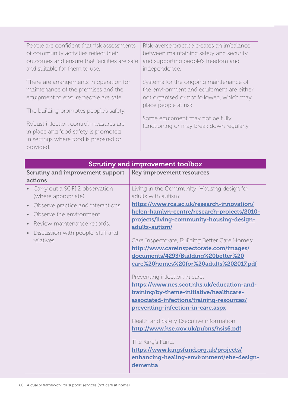| People are confident that risk assessments                                                                                          | Risk-averse practice creates an imbalance                                   |
|-------------------------------------------------------------------------------------------------------------------------------------|-----------------------------------------------------------------------------|
| of community activities reflect their                                                                                               | between maintaining safety and security                                     |
| outcomes and ensure that facilities are safe                                                                                        | and supporting people's freedom and                                         |
| and suitable for them to use.                                                                                                       | independence.                                                               |
| There are arrangements in operation for                                                                                             | Systems for the ongoing maintenance of                                      |
| maintenance of the premises and the                                                                                                 | the environment and equipment are either                                    |
| equipment to ensure people are safe.                                                                                                | not organised or not followed, which may                                    |
| The building promotes people's safety.                                                                                              | place people at risk.                                                       |
| Robust infection control measures are<br>in place and food safety is promoted<br>in settings where food is prepared or<br>provided. | Some equipment may not be fully<br>functioning or may break down regularly. |

| <b>Scrutiny and improvement toolbox</b>                                                                                                                                                                                                                                                                                                                                                                                                                                                                                                                                                                                                                                                                                                                                                                                               |  |
|---------------------------------------------------------------------------------------------------------------------------------------------------------------------------------------------------------------------------------------------------------------------------------------------------------------------------------------------------------------------------------------------------------------------------------------------------------------------------------------------------------------------------------------------------------------------------------------------------------------------------------------------------------------------------------------------------------------------------------------------------------------------------------------------------------------------------------------|--|
| <b>Key improvement resources</b>                                                                                                                                                                                                                                                                                                                                                                                                                                                                                                                                                                                                                                                                                                                                                                                                      |  |
| Living in the Community: Housing design for<br>adults with autism:<br>https://www.rca.ac.uk/research-innovation/<br>helen-hamlyn-centre/research-projects/2010-<br>projects/living-community-housing-design-<br>adults-autism/<br>Care Inspectorate, Building Better Care Homes:<br>http://www.careinspectorate.com/images/<br>documents/4293/Building%20better%20<br>care%20homes%20for%20adults%202017.pdf<br>Preventing infection in care:<br>https://www.nes.scot.nhs.uk/education-and-<br>training/by-theme-initiative/healthcare-<br>associated-infections/training-resources/<br>preventing-infection-in-care.aspx<br>Health and Safety Executive information:<br>http://www.hse.gov.uk/pubns/hsis6.pdf<br>The King's Fund:<br>https://www.kingsfund.org.uk/projects/<br>enhancing-healing-environment/ehe-design-<br>dementia |  |
|                                                                                                                                                                                                                                                                                                                                                                                                                                                                                                                                                                                                                                                                                                                                                                                                                                       |  |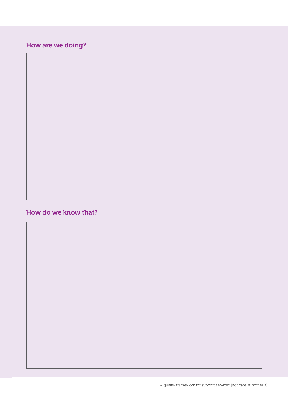### How are we doing?

#### How do we know that?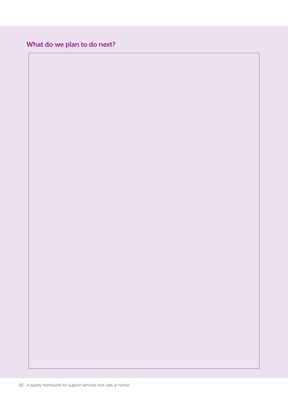### What do we plan to do next?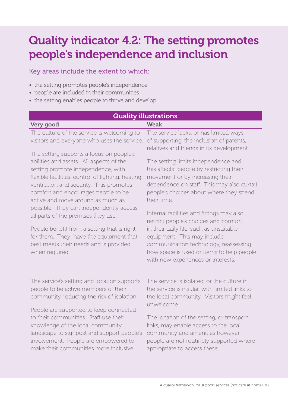# Quality indicator 4.2: The setting promotes people's independence and inclusion

Key areas include the extent to which:

- the setting promotes people's independence
- people are included in their communities
- the setting enables people to thrive and develop.

| <b>Quality illustrations</b>                                                                                                                                                                                                                                                                                                                                                                                                                                                                                                                                                                                                                |                                                                                                                                                                                                                                                                                                                                                                                                                                                                                                                                                                                                                                                           |  |
|---------------------------------------------------------------------------------------------------------------------------------------------------------------------------------------------------------------------------------------------------------------------------------------------------------------------------------------------------------------------------------------------------------------------------------------------------------------------------------------------------------------------------------------------------------------------------------------------------------------------------------------------|-----------------------------------------------------------------------------------------------------------------------------------------------------------------------------------------------------------------------------------------------------------------------------------------------------------------------------------------------------------------------------------------------------------------------------------------------------------------------------------------------------------------------------------------------------------------------------------------------------------------------------------------------------------|--|
| Very good                                                                                                                                                                                                                                                                                                                                                                                                                                                                                                                                                                                                                                   | <b>Weak</b>                                                                                                                                                                                                                                                                                                                                                                                                                                                                                                                                                                                                                                               |  |
| The culture of the service is welcoming to<br>visitors and everyone who uses the service.<br>The setting supports a focus on people's<br>abilities and assets. All aspects of the<br>setting promote independence, with<br>flexible facilities, control of lighting, heating,<br>ventilation and security. This promotes<br>comfort and encourages people to be<br>active and move around as much as<br>possible. They can independently access<br>all parts of the premises they use.<br>People benefit from a setting that is right<br>for them. They have the equipment that<br>best meets their needs and is provided<br>when required. | The service lacks, or has limited ways<br>of supporting, the inclusion of parents,<br>relatives and friends in its development.<br>The setting limits independence and<br>this affects people by restricting their<br>movement or by increasing their<br>dependence on staff. This may also curtail<br>people's choices about where they spend<br>their time.<br>Internal facilities and fittings may also<br>restrict people's choices and comfort<br>in their daily life, such as unsuitable<br>equipment. This may include<br>communication technology, reassessing<br>how space is used or items to help people<br>with new experiences or interests. |  |
| The service's setting and location supports<br>people to be active members of their<br>community, reducing the risk of isolation.<br>People are supported to keep connected<br>to their communities. Staff use their<br>knowledge of the local community<br>landscape to signpost and support people's<br>involvement. People are empowered to<br>make their communities more inclusive.                                                                                                                                                                                                                                                    | The service is isolated, or the culture in<br>the service is insular, with limited links to<br>the local community. Visitors might feel<br>unwelcome.<br>The location of the setting, or transport<br>links, may enable access to the local<br>community and amenities however<br>people are not routinely supported where<br>appropriate to access these.                                                                                                                                                                                                                                                                                                |  |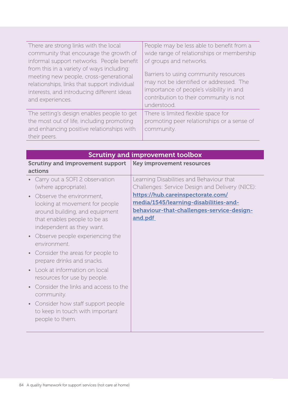| There are strong links with the local<br>community that encourage the growth of<br>informal support networks. People benefit<br>from this in a variety of ways including:<br>meeting new people, cross-generational<br>relationships, links that support individual<br>interests, and introducing different ideas<br>and experiences. | People may be less able to benefit from a<br>wide range of relationships or membership<br>of groups and networks.<br>Barriers to using community resources<br>may not be identified or addressed. The<br>importance of people's visibility in and<br>contribution to their community is not<br>understood. |
|---------------------------------------------------------------------------------------------------------------------------------------------------------------------------------------------------------------------------------------------------------------------------------------------------------------------------------------|------------------------------------------------------------------------------------------------------------------------------------------------------------------------------------------------------------------------------------------------------------------------------------------------------------|
| The setting's design enables people to get<br>the most out of life, including promoting<br>and enhancing positive relationships with<br>their peers.                                                                                                                                                                                  | There is limited flexible space for<br>promoting peer relationships or a sense of<br>community.                                                                                                                                                                                                            |

| <b>Scrutiny and improvement toolbox</b>                                                                                                                                                                                                                                                                                                                                                                                                                                                                                                                   |                                                                                                                                                                                                                                   |
|-----------------------------------------------------------------------------------------------------------------------------------------------------------------------------------------------------------------------------------------------------------------------------------------------------------------------------------------------------------------------------------------------------------------------------------------------------------------------------------------------------------------------------------------------------------|-----------------------------------------------------------------------------------------------------------------------------------------------------------------------------------------------------------------------------------|
| <b>Scrutiny and improvement support</b><br>actions                                                                                                                                                                                                                                                                                                                                                                                                                                                                                                        | <b>Key improvement resources</b>                                                                                                                                                                                                  |
| Carry out a SOFI 2 observation<br>(where appropriate).<br>Observe the environment,<br>looking at movement for people<br>around building, and equipment<br>that enables people to be as<br>independent as they want.<br>Observe people experiencing the<br>environment.<br>Consider the areas for people to<br>prepare drinks and snacks.<br>Look at information on local<br>resources for use by people.<br>Consider the links and access to the<br>community.<br>Consider how staff support people<br>to keep in touch with important<br>people to them. | Learning Disabilities and Behaviour that<br>Challenges: Service Design and Delivery (NICE):<br>https://hub.careinspectorate.com/<br>media/1545/learning-disabilities-and-<br>behaviour-that-challenges-service-design-<br>and.pdf |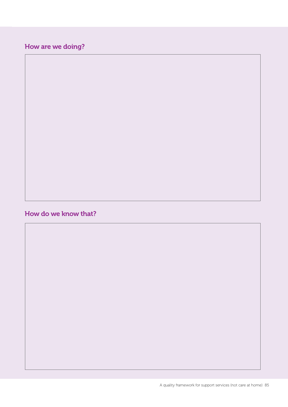### How are we doing?

#### How do we know that?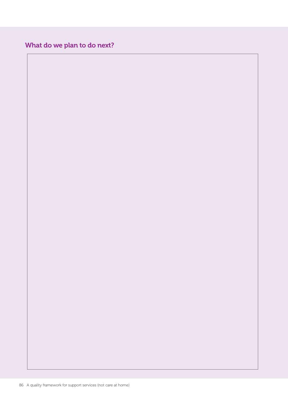### What do we plan to do next?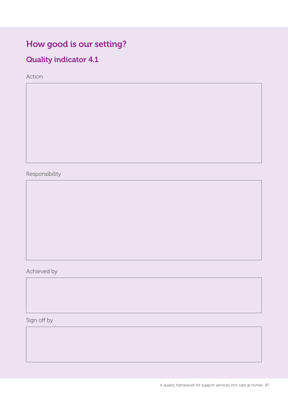# How good is our setting?

## Quality indicator 4.1

Action

Responsibility

Achieved by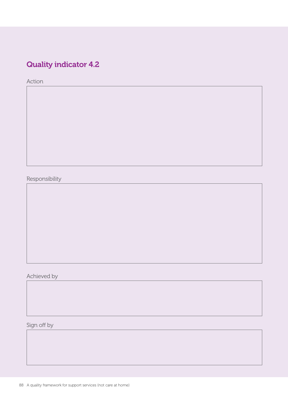## Quality indicator 4.2

Action

Responsibility

Achieved by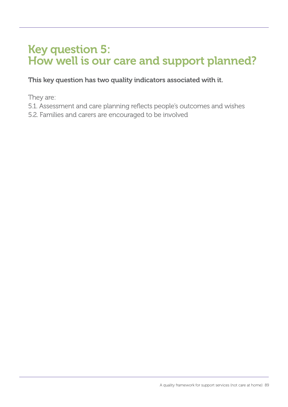# Key question 5: How well is our care and support planned?

This key question has two quality indicators associated with it.

They are:

- 5.1. Assessment and care planning reflects people's outcomes and wishes
- 5.2. Families and carers are encouraged to be involved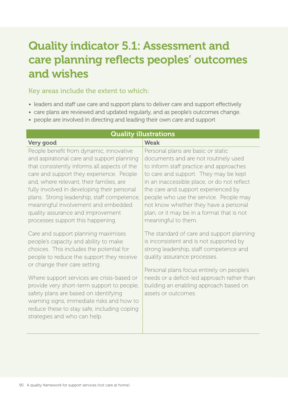# Quality indicator 5.1: Assessment and care planning reflects peoples' outcomes and wishes

#### Key areas include the extent to which:

- leaders and staff use care and support plans to deliver care and support effectively
- care plans are reviewed and updated regularly, and as people's outcomes change.
- people are involved in directing and leading their own care and support

| <b>Quality illustrations</b>                                                                                                                                                                                                                                                                                                                                                                                                                 |                                                                                                                                                                                                                                                                                                                                                                                                              |  |
|----------------------------------------------------------------------------------------------------------------------------------------------------------------------------------------------------------------------------------------------------------------------------------------------------------------------------------------------------------------------------------------------------------------------------------------------|--------------------------------------------------------------------------------------------------------------------------------------------------------------------------------------------------------------------------------------------------------------------------------------------------------------------------------------------------------------------------------------------------------------|--|
| Very good                                                                                                                                                                                                                                                                                                                                                                                                                                    | <b>Weak</b>                                                                                                                                                                                                                                                                                                                                                                                                  |  |
| People benefit from dynamic, innovative<br>and aspirational care and support planning<br>that consistently informs all aspects of the<br>care and support they experience. People<br>and, where relevant, their families, are<br>fully involved in developing their personal<br>plans. Strong leadership, staff competence,<br>meaningful involvement and embedded<br>quality assurance and improvement<br>processes support this happening. | Personal plans are basic or static<br>documents and are not routinely used<br>to inform staff practice and approaches<br>to care and support. They may be kept<br>in an inaccessible place, or do not reflect<br>the care and support experienced by<br>people who use the service. People may<br>not know whether they have a personal<br>plan, or it may be in a format that is not<br>meaningful to them. |  |
| Care and support planning maximises<br>people's capacity and ability to make<br>choices. This includes the potential for<br>people to reduce the support they receive<br>or change their care setting.                                                                                                                                                                                                                                       | The standard of care and support planning<br>is inconsistent and is not supported by<br>strong leadership, staff competence and<br>quality assurance processes.<br>Personal plans focus entirely on people's                                                                                                                                                                                                 |  |
| Where support services are crisis-based or<br>provide very short-term support to people,<br>safety plans are based on identifying<br>warning signs, immediate risks and how to<br>reduce these to stay safe, including coping<br>strategies and who can help.                                                                                                                                                                                | needs or a deficit-led approach rather than<br>building an enabling approach based on<br>assets or outcomes.                                                                                                                                                                                                                                                                                                 |  |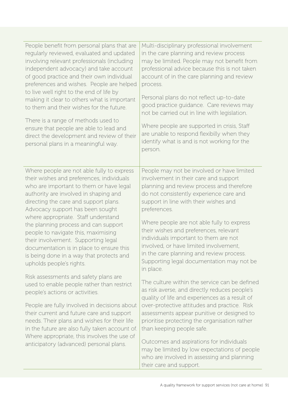| People benefit from personal plans that are<br>regularly reviewed, evaluated and updated<br>involving relevant professionals (including<br>independent advocacy) and take account<br>of good practice and their own individual<br>preferences and wishes. People are helped<br>to live well right to the end of life by<br>making it clear to others what is important<br>to them and their wishes for the future.<br>There is a range of methods used to<br>ensure that people are able to lead and<br>direct the development and review of their<br>personal plans in a meaningful way. | Multi-disciplinary professional involvement<br>in the care planning and review process<br>may be limited. People may not benefit from<br>professional advice because this is not taken<br>account of in the care planning and review<br>process.<br>Personal plans do not reflect up-to-date<br>good practice guidance. Care reviews may<br>not be carried out in line with legislation.<br>Where people are supported in crisis, Staff<br>are unable to respond flexibilly when they<br>identify what is and is not working for the<br>person. |
|-------------------------------------------------------------------------------------------------------------------------------------------------------------------------------------------------------------------------------------------------------------------------------------------------------------------------------------------------------------------------------------------------------------------------------------------------------------------------------------------------------------------------------------------------------------------------------------------|-------------------------------------------------------------------------------------------------------------------------------------------------------------------------------------------------------------------------------------------------------------------------------------------------------------------------------------------------------------------------------------------------------------------------------------------------------------------------------------------------------------------------------------------------|
| Where people are not able fully to express<br>their wishes and preferences, individuals<br>who are important to them or have legal<br>authority are involved in shaping and<br>directing the care and support plans.<br>Advocacy support has been sought<br>where appropriate. Staff understand<br>the planning process and can support<br>people to navigate this, maximising<br>their involvement. Supporting legal<br>documentation is in place to ensure this<br>is being done in a way that protects and<br>upholds people's rights.<br>Risk assessments and safety plans are        | People may not be involved or have limited<br>involvement in their care and support<br>planning and review process and therefore<br>do not consistently experience care and<br>support in line with their wishes and<br>preferences.<br>Where people are not able fully to express<br>their wishes and preferences, relevant<br>individuals important to them are not<br>involved, or have limited involvement,<br>in the care planning and review process.<br>Supporting legal documentation may not be<br>in place.                           |
| used to enable people rather than restrict<br>people's actions or activities.<br>People are fully involved in decisions about<br>their current and future care and support<br>needs. Their plans and wishes for their life<br>in the future are also fully taken account of.<br>Where appropriate, this involves the use of<br>anticipatory (advanced) personal plans.                                                                                                                                                                                                                    | The culture within the service can be defined<br>as risk averse, and directly reduces people's<br>quality of life and experiences as a result of<br>over-protective attitudes and practice. Risk<br>assessments appear punitive or designed to<br>prioritise protecting the organisation rather<br>than keeping people safe.<br>Outcomes and aspirations for individuals<br>may be limited by low expectations of people<br>who are involved in assessing and planning<br>their care and support.                                               |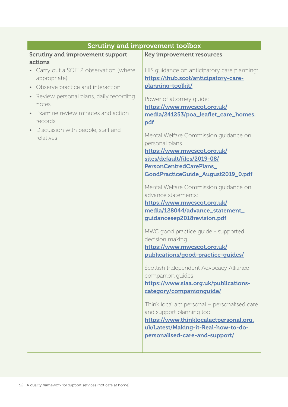|                                                                                                                                                                                                                                                    | <b>Scrutiny and improvement toolbox</b>                                                                                                                                                                                                                                                                                                                                                                                                                                                                                                                                                                                                                                                                                                                                                                                                                                                                                                                                                                                                            |
|----------------------------------------------------------------------------------------------------------------------------------------------------------------------------------------------------------------------------------------------------|----------------------------------------------------------------------------------------------------------------------------------------------------------------------------------------------------------------------------------------------------------------------------------------------------------------------------------------------------------------------------------------------------------------------------------------------------------------------------------------------------------------------------------------------------------------------------------------------------------------------------------------------------------------------------------------------------------------------------------------------------------------------------------------------------------------------------------------------------------------------------------------------------------------------------------------------------------------------------------------------------------------------------------------------------|
| <b>Scrutiny and improvement support</b><br>actions                                                                                                                                                                                                 | <b>Key improvement resources</b>                                                                                                                                                                                                                                                                                                                                                                                                                                                                                                                                                                                                                                                                                                                                                                                                                                                                                                                                                                                                                   |
| Carry out a SOFI 2 observation (where<br>appropriate).<br>Observe practice and interaction.<br>Review personal plans, daily recording<br>notes.<br>Examine review minutes and action<br>records.<br>Discussion with people, staff and<br>relatives | HIS guidance on anticipatory care planning:<br>https://ihub.scot/anticipatory-care-<br>planning-toolkit/<br>Power of attorney quide:<br>https://www.mwcscot.org.uk/<br>media/241253/poa_leaflet_care_homes.<br>pdf<br>Mental Welfare Commission guidance on<br>personal plans<br>https://www.mwcscot.org.uk/<br>sites/default/files/2019-08/<br>PersonCentredCarePlans_<br>GoodPracticeGuide_August2019_0.pdf<br>Mental Welfare Commission guidance on<br>advance statements:<br>https://www.mwcscot.org.uk/<br>media/128044/advance_statement_<br>guidancesep2018revision.pdf<br>MWC good practice guide - supported<br>decision making<br>https://www.mwcscot.org.uk/<br>publications/good-practice-guides/<br>Scottish Independent Advocacy Alliance -<br>companion guides<br>https://www.siaa.org.uk/publications-<br>category/companionguide/<br>Think local act personal - personalised care<br>and support planning tool<br>https://www.thinklocalactpersonal.org.<br>uk/Latest/Making-it-Real-how-to-do-<br>personalised-care-and-support/ |
|                                                                                                                                                                                                                                                    |                                                                                                                                                                                                                                                                                                                                                                                                                                                                                                                                                                                                                                                                                                                                                                                                                                                                                                                                                                                                                                                    |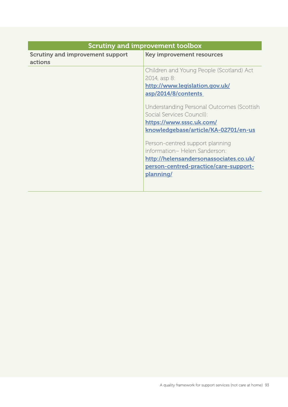| <b>Scrutiny and improvement toolbox</b>            |                                           |
|----------------------------------------------------|-------------------------------------------|
| <b>Scrutiny and improvement support</b><br>actions | <b>Key improvement resources</b>          |
|                                                    |                                           |
|                                                    | Children and Young People (Scotland) Act  |
|                                                    | 2014, asp 8:                              |
|                                                    | http://www.legislation.gov.uk/            |
|                                                    | asp/2014/8/contents                       |
|                                                    | Understanding Personal Outcomes (Scottish |
|                                                    | Social Services Council):                 |
|                                                    | https://www.sssc.uk.com/                  |
|                                                    | knowledgebase/article/KA-02701/en-us      |
|                                                    | Person-centred support planning           |
|                                                    | information- Helen Sanderson:             |
|                                                    | http://helensandersonassociates.co.uk/    |
|                                                    | person-centred-practice/care-support-     |
|                                                    | planning/                                 |
|                                                    |                                           |
|                                                    |                                           |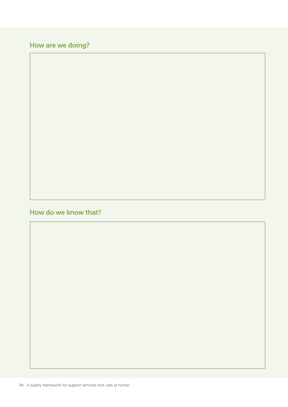### How are we doing?

### How do we know that?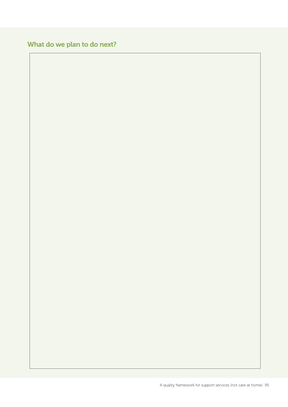### What do we plan to do next?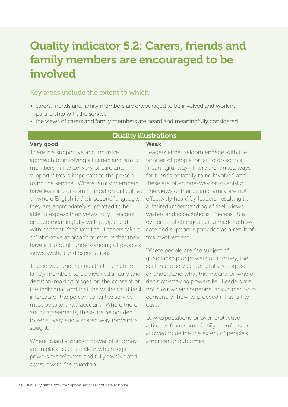# Quality indicator 5.2: Carers, friends and family members are encouraged to be involved

#### Key areas include the extent to which:

- carers, friends and family members are encouraged to be involved and work in partnership with the service
- the views of carers and family members are heard and meaningfully considered.

| 2000 - 1000 - 1000 - 1000 - 1000 - 11                                                                                 |                                             |
|-----------------------------------------------------------------------------------------------------------------------|---------------------------------------------|
| Very good                                                                                                             | Weak                                        |
| There is a supportive and inclusive                                                                                   | Leaders either seldom engage with the       |
| approach to involving all carers and family                                                                           | families of people, or fail to do so in a   |
| members in the delivery of care and                                                                                   | meaningful way. There are limited ways      |
| support if this is important to the person                                                                            | for friends or family to be involved and    |
| using the service. Where family members                                                                               | these are often one-way or tokenistic.      |
| have learning or communication difficulties                                                                           | The views of friends and family are not     |
| or where English is their second language,                                                                            | effectively heard by leaders, resulting in  |
| they are appropriately supported to be                                                                                | a limited understanding of their views,     |
| able to express their views fully. Leaders                                                                            | wishes and expectations. There is little    |
| engage meaningfully with people and,                                                                                  | evidence of changes being made to how       |
| with consent, their families. Leaders take a                                                                          | care and support is provided as a result of |
| collaborative approach to ensure that they                                                                            | this involvement.                           |
| have a thorough understanding of people's                                                                             |                                             |
| views, wishes and expectations.                                                                                       | Where people are the subject of             |
|                                                                                                                       | quardianship or powers of attorney, the     |
| The service understands that the right of                                                                             | staff in the service don't fully recognise  |
| family members to be involved in care and                                                                             | or understand what this means, or where     |
| decision-making hinges on the consent of                                                                              | decision-making powers lie. Leaders are     |
| the individual, and that the wishes and best                                                                          | not clear when someone lacks capacity to    |
| interests of the person using the service                                                                             | consent, or how to proceed if this is the   |
| must be taken into account. Where there                                                                               | case.                                       |
| are disagreements, these are responded                                                                                | Low expectations or over-protective         |
| to sensitively and a shared way forward is                                                                            | attitudes from some family members are      |
| sought.                                                                                                               | allowed to define the extent of people's    |
| Where guardianship or power of attorney                                                                               | ambition or outcomes.                       |
|                                                                                                                       |                                             |
|                                                                                                                       |                                             |
|                                                                                                                       |                                             |
| are in place, staff are clear which legal<br>powers are relevant, and fully involve and<br>consult with the quardian. |                                             |

### Quality illustrations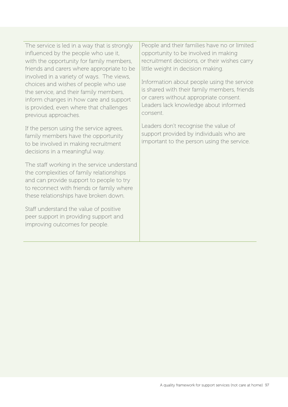The service is led in a way that is strongly influenced by the people who use it, with the opportunity for family members, friends and carers where appropriate to be involved in a variety of ways. The views, choices and wishes of people who use the service, and their family members, inform changes in how care and support is provided, even where that challenges previous approaches.

If the person using the service agrees, family members have the opportunity to be involved in making recruitment decisions in a meaningful way.

The staff working in the service understand the complexities of family relationships and can provide support to people to try to reconnect with friends or family where these relationships have broken down.

Staff understand the value of positive peer support in providing support and improving outcomes for people.

People and their families have no or limited opportunity to be involved in making recruitment decisions, or their wishes carry little weight in decision making.

Information about people using the service is shared with their family members, friends or carers without appropriate consent. Leaders lack knowledge about informed consent.

Leaders don't recognise the value of support provided by individuals who are important to the person using the service.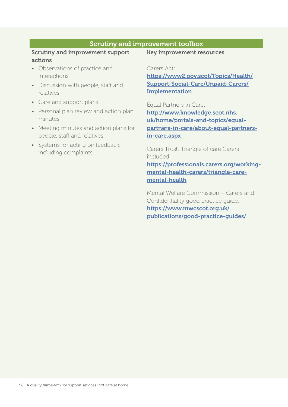| Scrutiny and improvement toolbox                  |                                                   |  |
|---------------------------------------------------|---------------------------------------------------|--|
| <b>Scrutiny and improvement support</b>           | <b>Key improvement resources</b>                  |  |
| actions                                           |                                                   |  |
| Observations of practice and                      | Carers Act:                                       |  |
| interactions.                                     | https://www2.gov.scot/Topics/Health/              |  |
| Discussion with people, staff and<br>$\bullet$    | <b>Support-Social-Care/Unpaid-Carers/</b>         |  |
| relatives.                                        | <b>Implementation</b>                             |  |
| Care and support plans.<br>$\bullet$              | Equal Partners in Care:                           |  |
| Personal plan review and action plan<br>$\bullet$ | http://www.knowledge.scot.nhs.                    |  |
| minutes.                                          | uk/home/portals-and-topics/equal-                 |  |
| Meeting minutes and action plans for<br>$\bullet$ | partners-in-care/about-equal-partners-            |  |
| people, staff and relatives.                      | in-care.aspx                                      |  |
| Systems for acting on feedback,                   |                                                   |  |
| including complaints.                             | Carers Trust: Triangle of care Carers<br>included |  |
|                                                   | https://professionals.carers.org/working-         |  |
|                                                   | mental-health-carers/triangle-care-               |  |
|                                                   | mental-health                                     |  |
|                                                   |                                                   |  |
|                                                   | Mental Welfare Commission - Carers and            |  |
|                                                   | Confidentiality good practice guide.              |  |
|                                                   | https://www.mwcscot.org.uk/                       |  |
|                                                   | publications/good-practice-guides/                |  |
|                                                   |                                                   |  |
|                                                   |                                                   |  |
|                                                   |                                                   |  |

#### Scrutiny and improvement toolbox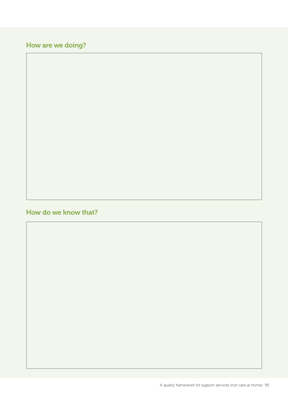### How are we doing?

#### How do we know that?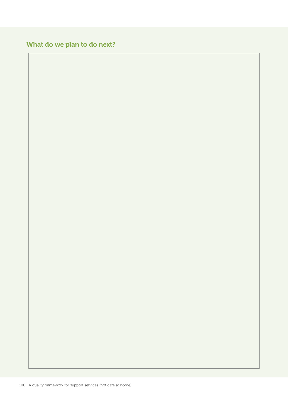### What do we plan to do next?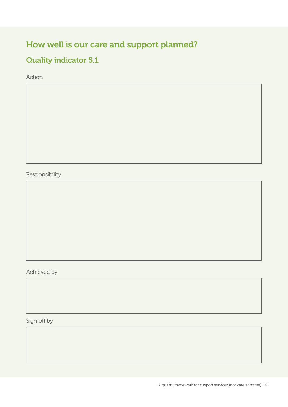## How well is our care and support planned?

### Quality indicator 5.1

Action

Responsibility

Achieved by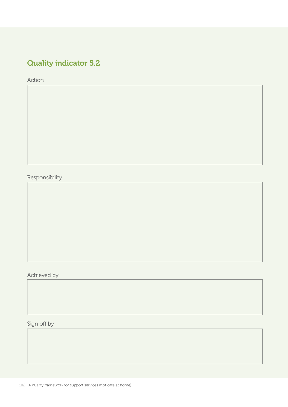## Quality indicator 5.2

Action

Responsibility

Achieved by